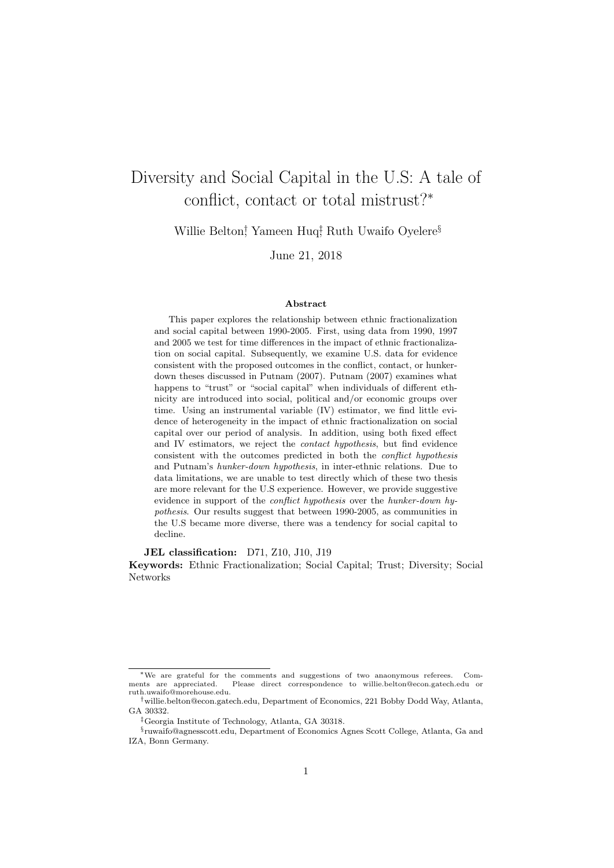# Diversity and Social Capital in the U.S: A tale of conflict, contact or total mistrust?<sup>∗</sup>

Willie Belton<sup>†</sup>, Yameen Huq<sup>‡</sup> Ruth Uwaifo Oyelere<sup>§</sup>

June 21, 2018

#### Abstract

This paper explores the relationship between ethnic fractionalization and social capital between 1990-2005. First, using data from 1990, 1997 and 2005 we test for time differences in the impact of ethnic fractionalization on social capital. Subsequently, we examine U.S. data for evidence consistent with the proposed outcomes in the conflict, contact, or hunkerdown theses discussed in Putnam (2007). Putnam (2007) examines what happens to "trust" or "social capital" when individuals of different ethnicity are introduced into social, political and/or economic groups over time. Using an instrumental variable (IV) estimator, we find little evidence of heterogeneity in the impact of ethnic fractionalization on social capital over our period of analysis. In addition, using both fixed effect and IV estimators, we reject the contact hypothesis, but find evidence consistent with the outcomes predicted in both the conflict hypothesis and Putnam's hunker-down hypothesis, in inter-ethnic relations. Due to data limitations, we are unable to test directly which of these two thesis are more relevant for the U.S experience. However, we provide suggestive evidence in support of the conflict hypothesis over the hunker-down hypothesis. Our results suggest that between 1990-2005, as communities in the U.S became more diverse, there was a tendency for social capital to decline.

JEL classification: D71, Z10, J10, J19 Keywords: Ethnic Fractionalization; Social Capital; Trust; Diversity; Social Networks

<sup>∗</sup>We are grateful for the comments and suggestions of two anaonymous referees. Comments are appreciated. Please direct correspondence to willie.belton@econ.gatech.edu or ruth.uwaifo@morehouse.edu.

<sup>†</sup>willie.belton@econ.gatech.edu, Department of Economics, 221 Bobby Dodd Way, Atlanta, GA 30332.

<sup>‡</sup>Georgia Institute of Technology, Atlanta, GA 30318.

<sup>§</sup> ruwaifo@agnesscott.edu, Department of Economics Agnes Scott College, Atlanta, Ga and IZA, Bonn Germany.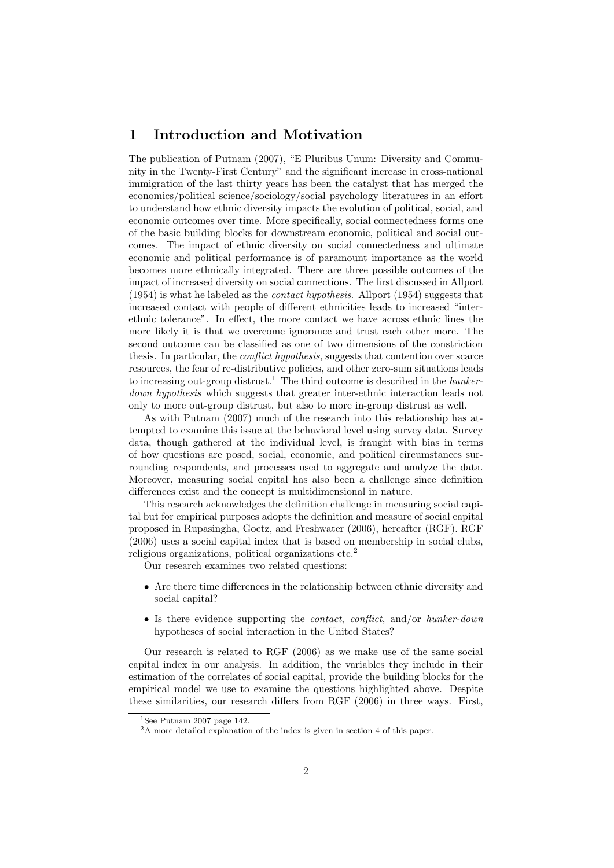# 1 Introduction and Motivation

The publication of Putnam (2007), "E Pluribus Unum: Diversity and Community in the Twenty-First Century" and the significant increase in cross-national immigration of the last thirty years has been the catalyst that has merged the economics/political science/sociology/social psychology literatures in an effort to understand how ethnic diversity impacts the evolution of political, social, and economic outcomes over time. More specifically, social connectedness forms one of the basic building blocks for downstream economic, political and social outcomes. The impact of ethnic diversity on social connectedness and ultimate economic and political performance is of paramount importance as the world becomes more ethnically integrated. There are three possible outcomes of the impact of increased diversity on social connections. The first discussed in Allport  $(1954)$  is what he labeled as the *contact hypothesis*. Allport  $(1954)$  suggests that increased contact with people of different ethnicities leads to increased "interethnic tolerance". In effect, the more contact we have across ethnic lines the more likely it is that we overcome ignorance and trust each other more. The second outcome can be classified as one of two dimensions of the constriction thesis. In particular, the *conflict hypothesis*, suggests that contention over scarce resources, the fear of re-distributive policies, and other zero-sum situations leads to increasing out-group distrust.<sup>1</sup> The third outcome is described in the *hunker*down hypothesis which suggests that greater inter-ethnic interaction leads not only to more out-group distrust, but also to more in-group distrust as well.

As with Putnam (2007) much of the research into this relationship has attempted to examine this issue at the behavioral level using survey data. Survey data, though gathered at the individual level, is fraught with bias in terms of how questions are posed, social, economic, and political circumstances surrounding respondents, and processes used to aggregate and analyze the data. Moreover, measuring social capital has also been a challenge since definition differences exist and the concept is multidimensional in nature.

This research acknowledges the definition challenge in measuring social capital but for empirical purposes adopts the definition and measure of social capital proposed in Rupasingha, Goetz, and Freshwater (2006), hereafter (RGF). RGF (2006) uses a social capital index that is based on membership in social clubs, religious organizations, political organizations etc.<sup>2</sup>

Our research examines two related questions:

- Are there time differences in the relationship between ethnic diversity and social capital?
- Is there evidence supporting the *contact*, *conflict*, and/or *hunker-down* hypotheses of social interaction in the United States?

Our research is related to RGF (2006) as we make use of the same social capital index in our analysis. In addition, the variables they include in their estimation of the correlates of social capital, provide the building blocks for the empirical model we use to examine the questions highlighted above. Despite these similarities, our research differs from RGF (2006) in three ways. First,

<sup>&</sup>lt;sup>1</sup>See Putnam 2007 page 142.

<sup>2</sup>A more detailed explanation of the index is given in section 4 of this paper.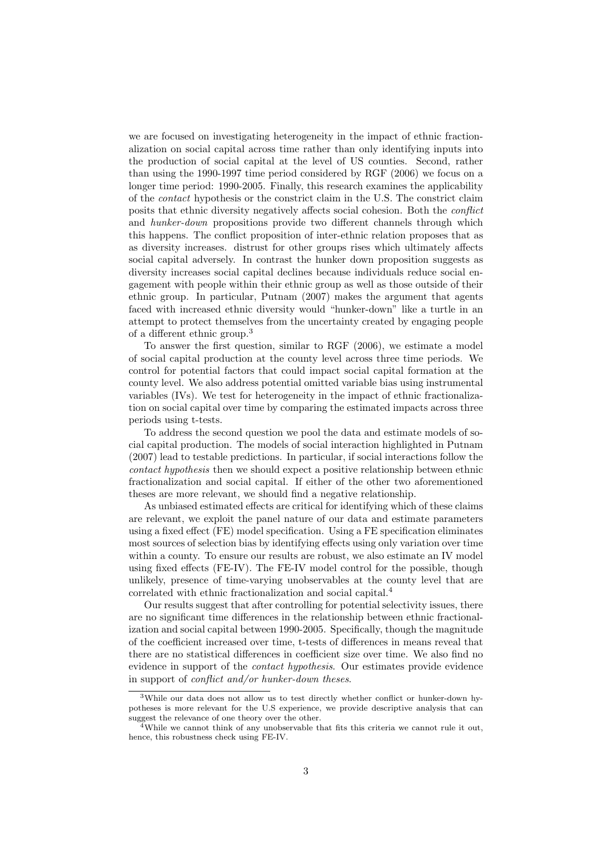we are focused on investigating heterogeneity in the impact of ethnic fractionalization on social capital across time rather than only identifying inputs into the production of social capital at the level of US counties. Second, rather than using the 1990-1997 time period considered by RGF (2006) we focus on a longer time period: 1990-2005. Finally, this research examines the applicability of the contact hypothesis or the constrict claim in the U.S. The constrict claim posits that ethnic diversity negatively affects social cohesion. Both the conflict and hunker-down propositions provide two different channels through which this happens. The conflict proposition of inter-ethnic relation proposes that as as diversity increases. distrust for other groups rises which ultimately affects social capital adversely. In contrast the hunker down proposition suggests as diversity increases social capital declines because individuals reduce social engagement with people within their ethnic group as well as those outside of their ethnic group. In particular, Putnam (2007) makes the argument that agents faced with increased ethnic diversity would "hunker-down" like a turtle in an attempt to protect themselves from the uncertainty created by engaging people of a different ethnic group.<sup>3</sup>

To answer the first question, similar to RGF (2006), we estimate a model of social capital production at the county level across three time periods. We control for potential factors that could impact social capital formation at the county level. We also address potential omitted variable bias using instrumental variables (IVs). We test for heterogeneity in the impact of ethnic fractionalization on social capital over time by comparing the estimated impacts across three periods using t-tests.

To address the second question we pool the data and estimate models of social capital production. The models of social interaction highlighted in Putnam (2007) lead to testable predictions. In particular, if social interactions follow the contact hypothesis then we should expect a positive relationship between ethnic fractionalization and social capital. If either of the other two aforementioned theses are more relevant, we should find a negative relationship.

As unbiased estimated effects are critical for identifying which of these claims are relevant, we exploit the panel nature of our data and estimate parameters using a fixed effect (FE) model specification. Using a FE specification eliminates most sources of selection bias by identifying effects using only variation over time within a county. To ensure our results are robust, we also estimate an IV model using fixed effects (FE-IV). The FE-IV model control for the possible, though unlikely, presence of time-varying unobservables at the county level that are correlated with ethnic fractionalization and social capital.<sup>4</sup>

Our results suggest that after controlling for potential selectivity issues, there are no significant time differences in the relationship between ethnic fractionalization and social capital between 1990-2005. Specifically, though the magnitude of the coefficient increased over time, t-tests of differences in means reveal that there are no statistical differences in coefficient size over time. We also find no evidence in support of the contact hypothesis. Our estimates provide evidence in support of conflict and/or hunker-down theses.

<sup>&</sup>lt;sup>3</sup>While our data does not allow us to test directly whether conflict or hunker-down hypotheses is more relevant for the U.S experience, we provide descriptive analysis that can suggest the relevance of one theory over the other.

<sup>&</sup>lt;sup>4</sup>While we cannot think of any unobservable that fits this criteria we cannot rule it out, hence, this robustness check using FE-IV.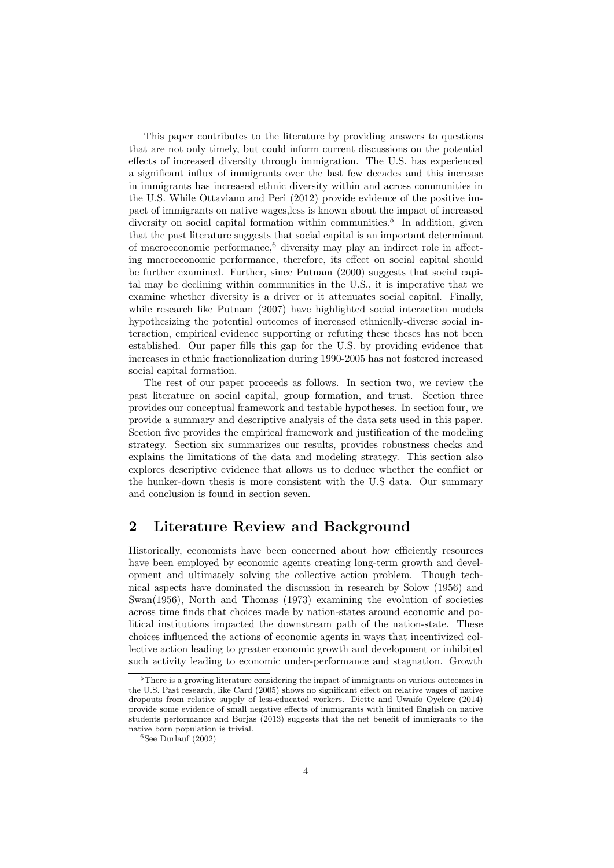This paper contributes to the literature by providing answers to questions that are not only timely, but could inform current discussions on the potential effects of increased diversity through immigration. The U.S. has experienced a significant influx of immigrants over the last few decades and this increase in immigrants has increased ethnic diversity within and across communities in the U.S. While Ottaviano and Peri (2012) provide evidence of the positive impact of immigrants on native wages,less is known about the impact of increased diversity on social capital formation within communities.<sup>5</sup> In addition, given that the past literature suggests that social capital is an important determinant of macroeconomic performance,<sup>6</sup> diversity may play an indirect role in affecting macroeconomic performance, therefore, its effect on social capital should be further examined. Further, since Putnam (2000) suggests that social capital may be declining within communities in the U.S., it is imperative that we examine whether diversity is a driver or it attenuates social capital. Finally, while research like Putnam (2007) have highlighted social interaction models hypothesizing the potential outcomes of increased ethnically-diverse social interaction, empirical evidence supporting or refuting these theses has not been established. Our paper fills this gap for the U.S. by providing evidence that increases in ethnic fractionalization during 1990-2005 has not fostered increased social capital formation.

The rest of our paper proceeds as follows. In section two, we review the past literature on social capital, group formation, and trust. Section three provides our conceptual framework and testable hypotheses. In section four, we provide a summary and descriptive analysis of the data sets used in this paper. Section five provides the empirical framework and justification of the modeling strategy. Section six summarizes our results, provides robustness checks and explains the limitations of the data and modeling strategy. This section also explores descriptive evidence that allows us to deduce whether the conflict or the hunker-down thesis is more consistent with the U.S data. Our summary and conclusion is found in section seven.

# 2 Literature Review and Background

Historically, economists have been concerned about how efficiently resources have been employed by economic agents creating long-term growth and development and ultimately solving the collective action problem. Though technical aspects have dominated the discussion in research by Solow (1956) and Swan(1956), North and Thomas (1973) examining the evolution of societies across time finds that choices made by nation-states around economic and political institutions impacted the downstream path of the nation-state. These choices influenced the actions of economic agents in ways that incentivized collective action leading to greater economic growth and development or inhibited such activity leading to economic under-performance and stagnation. Growth

<sup>5</sup>There is a growing literature considering the impact of immigrants on various outcomes in the U.S. Past research, like Card (2005) shows no significant effect on relative wages of native dropouts from relative supply of less-educated workers. Diette and Uwaifo Oyelere (2014) provide some evidence of small negative effects of immigrants with limited English on native students performance and Borjas (2013) suggests that the net benefit of immigrants to the native born population is trivial.

 $6$ See Durlauf (2002)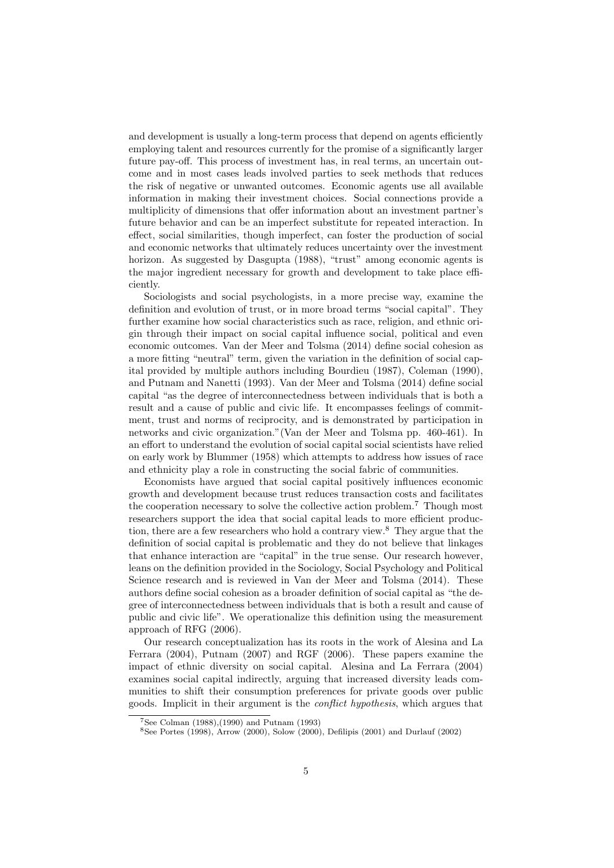and development is usually a long-term process that depend on agents efficiently employing talent and resources currently for the promise of a significantly larger future pay-off. This process of investment has, in real terms, an uncertain outcome and in most cases leads involved parties to seek methods that reduces the risk of negative or unwanted outcomes. Economic agents use all available information in making their investment choices. Social connections provide a multiplicity of dimensions that offer information about an investment partner's future behavior and can be an imperfect substitute for repeated interaction. In effect, social similarities, though imperfect, can foster the production of social and economic networks that ultimately reduces uncertainty over the investment horizon. As suggested by Dasgupta (1988), "trust" among economic agents is the major ingredient necessary for growth and development to take place efficiently.

Sociologists and social psychologists, in a more precise way, examine the definition and evolution of trust, or in more broad terms "social capital". They further examine how social characteristics such as race, religion, and ethnic origin through their impact on social capital influence social, political and even economic outcomes. Van der Meer and Tolsma (2014) define social cohesion as a more fitting "neutral" term, given the variation in the definition of social capital provided by multiple authors including Bourdieu (1987), Coleman (1990), and Putnam and Nanetti (1993). Van der Meer and Tolsma (2014) define social capital "as the degree of interconnectedness between individuals that is both a result and a cause of public and civic life. It encompasses feelings of commitment, trust and norms of reciprocity, and is demonstrated by participation in networks and civic organization."(Van der Meer and Tolsma pp. 460-461). In an effort to understand the evolution of social capital social scientists have relied on early work by Blummer (1958) which attempts to address how issues of race and ethnicity play a role in constructing the social fabric of communities.

Economists have argued that social capital positively influences economic growth and development because trust reduces transaction costs and facilitates the cooperation necessary to solve the collective action problem.<sup>7</sup> Though most researchers support the idea that social capital leads to more efficient production, there are a few researchers who hold a contrary view.<sup>8</sup> They argue that the definition of social capital is problematic and they do not believe that linkages that enhance interaction are "capital" in the true sense. Our research however, leans on the definition provided in the Sociology, Social Psychology and Political Science research and is reviewed in Van der Meer and Tolsma (2014). These authors define social cohesion as a broader definition of social capital as "the degree of interconnectedness between individuals that is both a result and cause of public and civic life". We operationalize this definition using the measurement approach of RFG (2006).

Our research conceptualization has its roots in the work of Alesina and La Ferrara (2004), Putnam (2007) and RGF (2006). These papers examine the impact of ethnic diversity on social capital. Alesina and La Ferrara (2004) examines social capital indirectly, arguing that increased diversity leads communities to shift their consumption preferences for private goods over public goods. Implicit in their argument is the conflict hypothesis, which argues that

<sup>7</sup>See Colman (1988),(1990) and Putnam (1993)

 ${}^{8}$ See Portes (1998), Arrow (2000), Solow (2000), Defilipis (2001) and Durlauf (2002)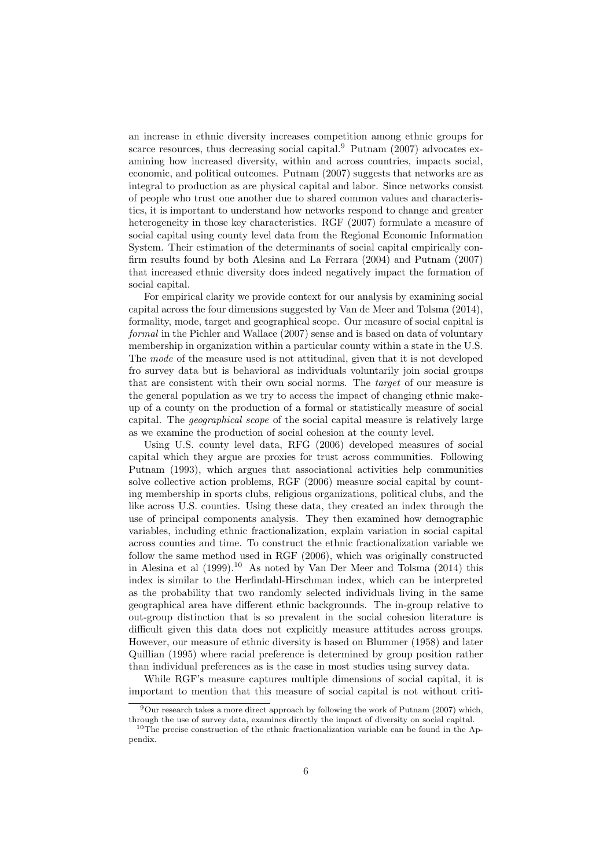an increase in ethnic diversity increases competition among ethnic groups for scarce resources, thus decreasing social capital.<sup>9</sup> Putnam  $(2007)$  advocates examining how increased diversity, within and across countries, impacts social, economic, and political outcomes. Putnam (2007) suggests that networks are as integral to production as are physical capital and labor. Since networks consist of people who trust one another due to shared common values and characteristics, it is important to understand how networks respond to change and greater heterogeneity in those key characteristics. RGF (2007) formulate a measure of social capital using county level data from the Regional Economic Information System. Their estimation of the determinants of social capital empirically confirm results found by both Alesina and La Ferrara (2004) and Putnam (2007) that increased ethnic diversity does indeed negatively impact the formation of social capital.

For empirical clarity we provide context for our analysis by examining social capital across the four dimensions suggested by Van de Meer and Tolsma (2014), formality, mode, target and geographical scope. Our measure of social capital is formal in the Pichler and Wallace (2007) sense and is based on data of voluntary membership in organization within a particular county within a state in the U.S. The mode of the measure used is not attitudinal, given that it is not developed fro survey data but is behavioral as individuals voluntarily join social groups that are consistent with their own social norms. The target of our measure is the general population as we try to access the impact of changing ethnic makeup of a county on the production of a formal or statistically measure of social capital. The geographical scope of the social capital measure is relatively large as we examine the production of social cohesion at the county level.

Using U.S. county level data, RFG (2006) developed measures of social capital which they argue are proxies for trust across communities. Following Putnam (1993), which argues that associational activities help communities solve collective action problems, RGF (2006) measure social capital by counting membership in sports clubs, religious organizations, political clubs, and the like across U.S. counties. Using these data, they created an index through the use of principal components analysis. They then examined how demographic variables, including ethnic fractionalization, explain variation in social capital across counties and time. To construct the ethnic fractionalization variable we follow the same method used in RGF (2006), which was originally constructed in Alesina et al (1999).<sup>10</sup> As noted by Van Der Meer and Tolsma (2014) this index is similar to the Herfindahl-Hirschman index, which can be interpreted as the probability that two randomly selected individuals living in the same geographical area have different ethnic backgrounds. The in-group relative to out-group distinction that is so prevalent in the social cohesion literature is difficult given this data does not explicitly measure attitudes across groups. However, our measure of ethnic diversity is based on Blummer (1958) and later Quillian (1995) where racial preference is determined by group position rather than individual preferences as is the case in most studies using survey data.

While RGF's measure captures multiple dimensions of social capital, it is important to mention that this measure of social capital is not without criti-

 $9$ Our research takes a more direct approach by following the work of Putnam (2007) which, through the use of survey data, examines directly the impact of diversity on social capital.

 $10$ The precise construction of the ethnic fractionalization variable can be found in the Appendix.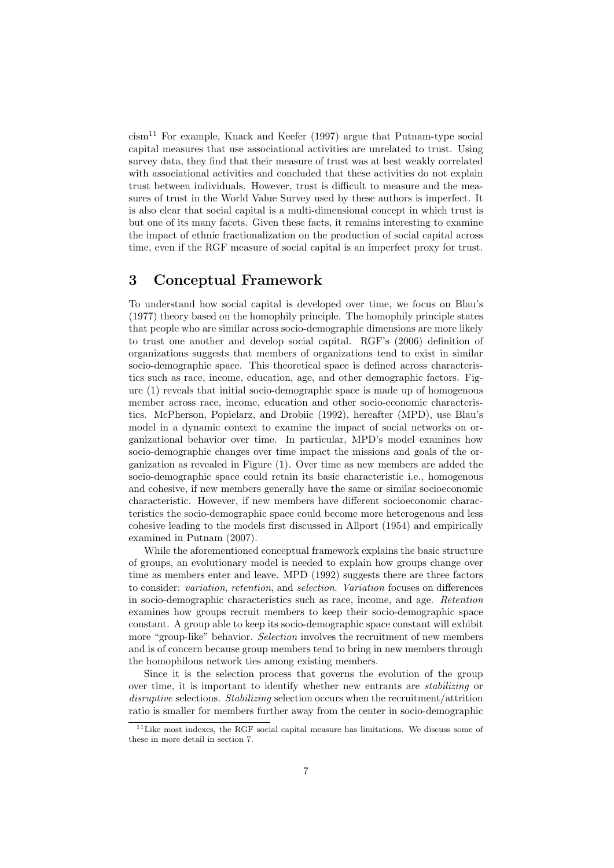$cism<sup>11</sup>$  For example, Knack and Keefer (1997) argue that Putnam-type social capital measures that use associational activities are unrelated to trust. Using survey data, they find that their measure of trust was at best weakly correlated with associational activities and concluded that these activities do not explain trust between individuals. However, trust is difficult to measure and the measures of trust in the World Value Survey used by these authors is imperfect. It is also clear that social capital is a multi-dimensional concept in which trust is but one of its many facets. Given these facts, it remains interesting to examine the impact of ethnic fractionalization on the production of social capital across time, even if the RGF measure of social capital is an imperfect proxy for trust.

# 3 Conceptual Framework

To understand how social capital is developed over time, we focus on Blau's (1977) theory based on the homophily principle. The homophily principle states that people who are similar across socio-demographic dimensions are more likely to trust one another and develop social capital. RGF's (2006) definition of organizations suggests that members of organizations tend to exist in similar socio-demographic space. This theoretical space is defined across characteristics such as race, income, education, age, and other demographic factors. Figure (1) reveals that initial socio-demographic space is made up of homogenous member across race, income, education and other socio-economic characteristics. McPherson, Popielarz, and Drobiic (1992), hereafter (MPD), use Blau's model in a dynamic context to examine the impact of social networks on organizational behavior over time. In particular, MPD's model examines how socio-demographic changes over time impact the missions and goals of the organization as revealed in Figure (1). Over time as new members are added the socio-demographic space could retain its basic characteristic i.e., homogenous and cohesive, if new members generally have the same or similar socioeconomic characteristic. However, if new members have different socioeconomic characteristics the socio-demographic space could become more heterogenous and less cohesive leading to the models first discussed in Allport (1954) and empirically examined in Putnam (2007).

While the aforementioned conceptual framework explains the basic structure of groups, an evolutionary model is needed to explain how groups change over time as members enter and leave. MPD (1992) suggests there are three factors to consider: variation, retention, and selection. Variation focuses on differences in socio-demographic characteristics such as race, income, and age. Retention examines how groups recruit members to keep their socio-demographic space constant. A group able to keep its socio-demographic space constant will exhibit more "group-like" behavior. Selection involves the recruitment of new members and is of concern because group members tend to bring in new members through the homophilous network ties among existing members.

Since it is the selection process that governs the evolution of the group over time, it is important to identify whether new entrants are stabilizing or disruptive selections. Stabilizing selection occurs when the recruitment/attrition ratio is smaller for members further away from the center in socio-demographic

 $11$ Like most indexes, the RGF social capital measure has limitations. We discuss some of these in more detail in section 7.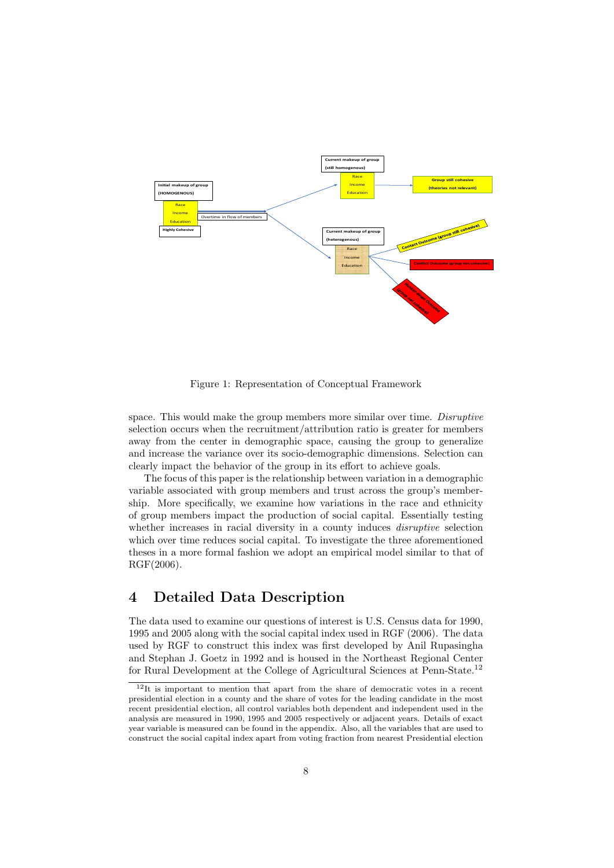

Figure 1: Representation of Conceptual Framework

space. This would make the group members more similar over time. Disruptive selection occurs when the recruitment/attribution ratio is greater for members away from the center in demographic space, causing the group to generalize and increase the variance over its socio-demographic dimensions. Selection can clearly impact the behavior of the group in its effort to achieve goals.

The focus of this paper is the relationship between variation in a demographic variable associated with group members and trust across the group's membership. More specifically, we examine how variations in the race and ethnicity of group members impact the production of social capital. Essentially testing whether increases in racial diversity in a county induces *disruptive* selection which over time reduces social capital. To investigate the three aforementioned theses in a more formal fashion we adopt an empirical model similar to that of RGF(2006).

# 4 Detailed Data Description

The data used to examine our questions of interest is U.S. Census data for 1990, 1995 and 2005 along with the social capital index used in RGF (2006). The data used by RGF to construct this index was first developed by Anil Rupasingha and Stephan J. Goetz in 1992 and is housed in the Northeast Regional Center for Rural Development at the College of Agricultural Sciences at Penn-State.<sup>12</sup>

<sup>12</sup>It is important to mention that apart from the share of democratic votes in a recent presidential election in a county and the share of votes for the leading candidate in the most recent presidential election, all control variables both dependent and independent used in the analysis are measured in 1990, 1995 and 2005 respectively or adjacent years. Details of exact year variable is measured can be found in the appendix. Also, all the variables that are used to construct the social capital index apart from voting fraction from nearest Presidential election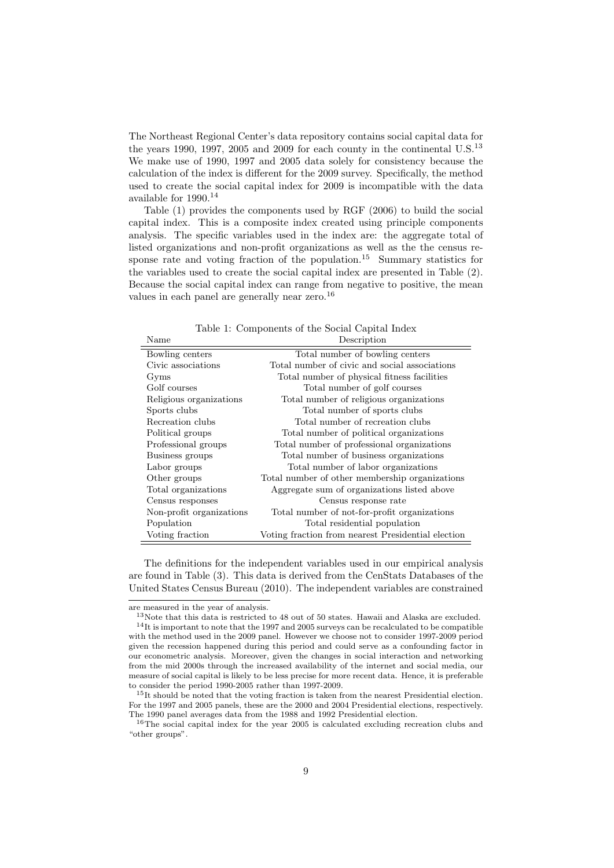The Northeast Regional Center's data repository contains social capital data for the years 1990, 1997, 2005 and 2009 for each county in the continental U.S.<sup>13</sup> We make use of 1990, 1997 and 2005 data solely for consistency because the calculation of the index is different for the 2009 survey. Specifically, the method used to create the social capital index for 2009 is incompatible with the data available for  $1990.^{\rm 14}$ 

Table (1) provides the components used by RGF (2006) to build the social capital index. This is a composite index created using principle components analysis. The specific variables used in the index are: the aggregate total of listed organizations and non-profit organizations as well as the the census response rate and voting fraction of the population.<sup>15</sup> Summary statistics for the variables used to create the social capital index are presented in Table (2). Because the social capital index can range from negative to positive, the mean values in each panel are generally near zero.<sup>16</sup>

Table 1: Components of the Social Capital Index

| Name                     | Description                                        |
|--------------------------|----------------------------------------------------|
| Bowling centers          | Total number of bowling centers                    |
| Civic associations       | Total number of civic and social associations      |
| Gyms                     | Total number of physical fitness facilities        |
| Golf courses             | Total number of golf courses                       |
| Religious organizations  | Total number of religious organizations            |
| Sports clubs             | Total number of sports clubs                       |
| Recreation clubs         | Total number of recreation clubs                   |
| Political groups         | Total number of political organizations            |
| Professional groups      | Total number of professional organizations         |
| Business groups          | Total number of business organizations             |
| Labor groups             | Total number of labor organizations                |
| Other groups             | Total number of other membership organizations     |
| Total organizations      | Aggregate sum of organizations listed above        |
| Census responses         | Census response rate                               |
| Non-profit organizations | Total number of not-for-profit organizations       |
| Population               | Total residential population                       |
| Voting fraction          | Voting fraction from nearest Presidential election |

The definitions for the independent variables used in our empirical analysis are found in Table (3). This data is derived from the CenStats Databases of the United States Census Bureau (2010). The independent variables are constrained

are measured in the year of analysis.

<sup>13</sup>Note that this data is restricted to 48 out of 50 states. Hawaii and Alaska are excluded. <sup>14</sup>It is important to note that the 1997 and 2005 surveys can be recalculated to be compatible with the method used in the 2009 panel. However we choose not to consider 1997-2009 period given the recession happened during this period and could serve as a confounding factor in our econometric analysis. Moreover, given the changes in social interaction and networking from the mid 2000s through the increased availability of the internet and social media, our measure of social capital is likely to be less precise for more recent data. Hence, it is preferable to consider the period 1990-2005 rather than 1997-2009.

<sup>&</sup>lt;sup>15</sup>It should be noted that the voting fraction is taken from the nearest Presidential election. For the 1997 and 2005 panels, these are the 2000 and 2004 Presidential elections, respectively. The 1990 panel averages data from the 1988 and 1992 Presidential election.

<sup>16</sup>The social capital index for the year 2005 is calculated excluding recreation clubs and "other groups".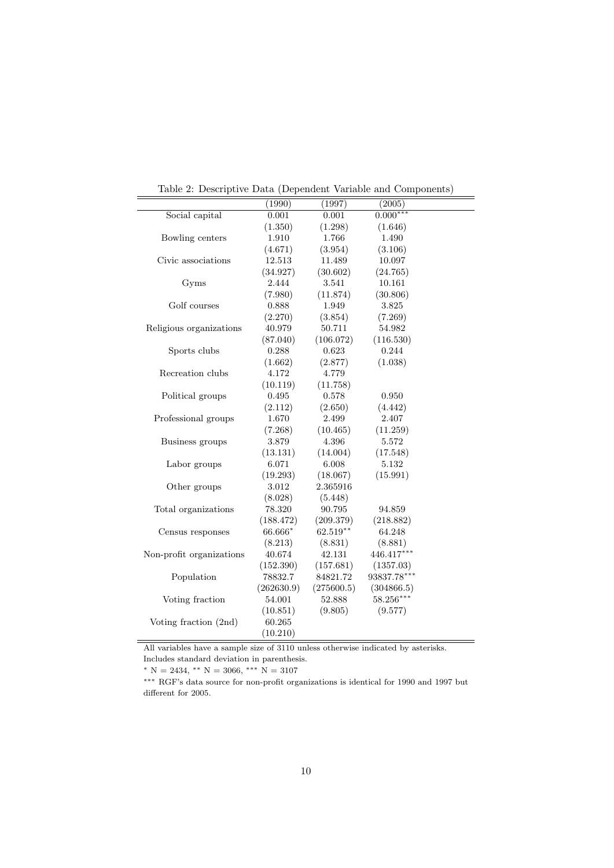|                          | (1990)     | (1997)     | (2005)      |  |
|--------------------------|------------|------------|-------------|--|
| Social capital           | 0.001      | 0.001      | $0.000***$  |  |
|                          | (1.350)    | (1.298)    | (1.646)     |  |
| Bowling centers          | 1.910      | 1.766      | 1.490       |  |
|                          | (4.671)    | (3.954)    | (3.106)     |  |
| Civic associations       | 12.513     | 11.489     | 10.097      |  |
|                          | (34.927)   | (30.602)   | (24.765)    |  |
| Gyms                     | 2.444      | 3.541      | 10.161      |  |
|                          | (7.980)    | (11.874)   | (30.806)    |  |
| Golf courses             | 0.888      | 1.949      | 3.825       |  |
|                          | (2.270)    | (3.854)    | (7.269)     |  |
| Religious organizations  | 40.979     | 50.711     | 54.982      |  |
|                          | (87.040)   | (106.072)  | (116.530)   |  |
| Sports clubs             | 0.288      | 0.623      | 0.244       |  |
|                          | (1.662)    | (2.877)    | (1.038)     |  |
| Recreation clubs         | 4.172      | 4.779      |             |  |
|                          | (10.119)   | (11.758)   |             |  |
| Political groups         | 0.495      | 0.578      | 0.950       |  |
|                          | (2.112)    | (2.650)    | (4.442)     |  |
| Professional groups      | 1.670      | 2.499      | 2.407       |  |
|                          | (7.268)    | (10.465)   | (11.259)    |  |
| Business groups          | 3.879      | 4.396      | 5.572       |  |
|                          | (13.131)   | (14.004)   | (17.548)    |  |
| Labor groups             | 6.071      | 6.008      | 5.132       |  |
|                          | (19.293)   | (18.067)   | (15.991)    |  |
| Other groups             | 3.012      | 2.365916   |             |  |
|                          | (8.028)    | (5.448)    |             |  |
| Total organizations      | 78.320     | 90.795     | 94.859      |  |
|                          | (188.472)  | (209.379)  | (218.882)   |  |
| Census responses         | 66.666*    | $62.519**$ | 64.248      |  |
|                          | (8.213)    | (8.831)    | (8.881)     |  |
| Non-profit organizations | 40.674     | 42.131     | 446.417***  |  |
|                          | (152.390)  | (157.681)  | (1357.03)   |  |
| Population               | 78832.7    | 84821.72   | 93837.78*** |  |
|                          | (262630.9) | (275600.5) | (304866.5)  |  |
| Voting fraction          | 54.001     | 52.888     | 58.256***   |  |
|                          | (10.851)   | (9.805)    | (9.577)     |  |
| Voting fraction (2nd)    | 60.265     |            |             |  |
|                          | (10.210)   |            |             |  |

Table 2: Descriptive Data (Dependent Variable and Components)

All variables have a sample size of 3110 unless otherwise indicated by asterisks. Includes standard deviation in parenthesis.

 $* N = 2434, ** N = 3066, ** N = 3107$ 

∗∗∗ RGF's data source for non-profit organizations is identical for 1990 and 1997 but different for 2005.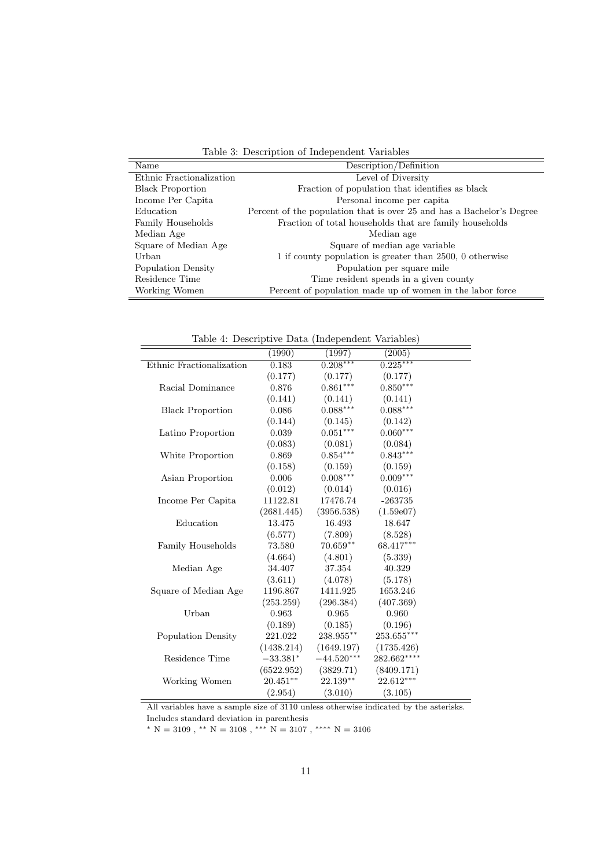Table 3: Description of Independent Variables

| Name                     | Description/Definition                                                |
|--------------------------|-----------------------------------------------------------------------|
| Ethnic Fractionalization | Level of Diversity                                                    |
| <b>Black Proportion</b>  | Fraction of population that identifies as black                       |
| Income Per Capita        | Personal income per capita                                            |
| Education                | Percent of the population that is over 25 and has a Bachelor's Degree |
| Family Households        | Fraction of total households that are family households               |
| Median Age               | Median age                                                            |
| Square of Median Age     | Square of median age variable                                         |
| Urban                    | 1 if county population is greater than 2500, 0 otherwise              |
| Population Density       | Population per square mile                                            |
| Residence Time           | Time resident spends in a given county                                |
| Working Women            | Percent of population made up of women in the labor force             |

Table 4: Descriptive Data (Independent Variables)

| "" Descriptive Data" (macponacine variables) |             |                 |              |  |  |  |
|----------------------------------------------|-------------|-----------------|--------------|--|--|--|
|                                              | (1990)      | (1997)          | (2005)       |  |  |  |
| Ethnic Fractionalization                     | 0.183       | $0.208***$      | $0.225***$   |  |  |  |
|                                              | (0.177)     | (0.177)         | (0.177)      |  |  |  |
| Racial Dominance                             | 0.876       | $0.861***$      | $0.850***$   |  |  |  |
|                                              | (0.141)     | (0.141)         | (0.141)      |  |  |  |
| <b>Black Proportion</b>                      | 0.086       | $0.088^{***}\,$ | $0.088***$   |  |  |  |
|                                              | (0.144)     | (0.145)         | (0.142)      |  |  |  |
| Latino Proportion                            | 0.039       | $0.051***$      | $0.060***$   |  |  |  |
|                                              | (0.083)     | (0.081)         | (0.084)      |  |  |  |
| White Proportion                             | 0.869       | $0.854***$      | $0.843***$   |  |  |  |
|                                              | (0.158)     | (0.159)         | (0.159)      |  |  |  |
| Asian Proportion                             | 0.006       | $0.008***$      | $0.009***$   |  |  |  |
|                                              | (0.012)     | (0.014)         | (0.016)      |  |  |  |
| Income Per Capita                            | 11122.81    | 17476.74        | $-263735$    |  |  |  |
|                                              | (2681.445)  | (3956.538)      | (1.59e07)    |  |  |  |
| Education                                    | 13.475      | 16.493          | 18.647       |  |  |  |
|                                              | (6.577)     | (7.809)         | (8.528)      |  |  |  |
| Family Households                            | 73.580      | $70.659**$      | 68.417***    |  |  |  |
|                                              | (4.664)     | (4.801)         | (5.339)      |  |  |  |
| Median Age                                   | 34.407      | 37.354          | 40.329       |  |  |  |
|                                              | (3.611)     | (4.078)         | (5.178)      |  |  |  |
| Square of Median Age                         | 1196.867    | 1411.925        | 1653.246     |  |  |  |
|                                              | (253.259)   | (296.384)       | (407.369)    |  |  |  |
| Urban                                        | 0.963       | 0.965           | 0.960        |  |  |  |
|                                              | (0.189)     | (0.185)         | (0.196)      |  |  |  |
| Population Density                           | 221.022     | $238.955***$    | $253.655***$ |  |  |  |
|                                              | (1438.214)  | (1649.197)      | (1735.426)   |  |  |  |
| Residence Time                               | $-33.381*$  | $-44.520***$    | $282.662***$ |  |  |  |
|                                              | (6522.952)  | (3829.71)       | (8409.171)   |  |  |  |
| Working Women                                | $20.451***$ | $22.139**$      | 22.612***    |  |  |  |
|                                              | (2.954)     | (3.010)         | (3.105)      |  |  |  |

All variables have a sample size of 3110 unless otherwise indicated by the asterisks. Includes standard deviation in parenthesis

 $^*$  N = 3109 ,  $^{**}$  N = 3108 ,  $^{***}$  N = 3106  $\,$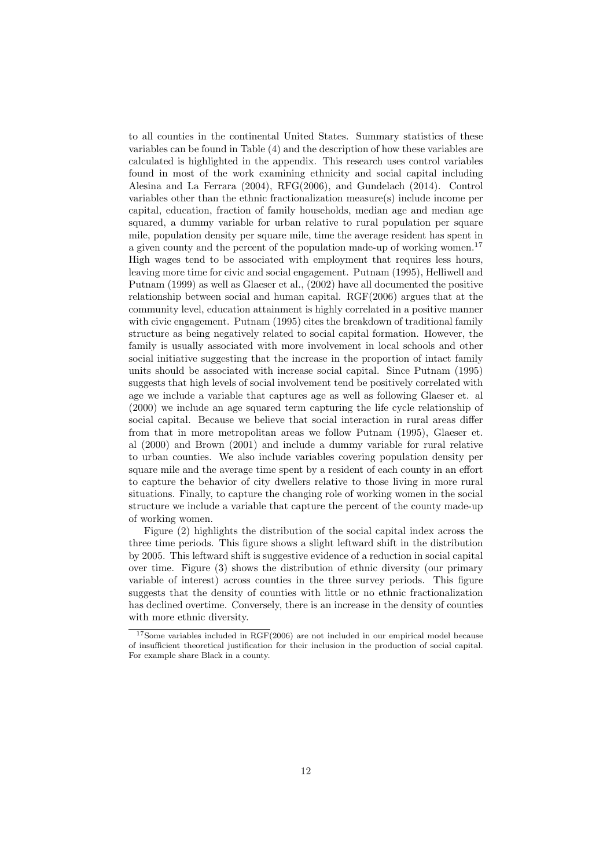to all counties in the continental United States. Summary statistics of these variables can be found in Table (4) and the description of how these variables are calculated is highlighted in the appendix. This research uses control variables found in most of the work examining ethnicity and social capital including Alesina and La Ferrara (2004), RFG(2006), and Gundelach (2014). Control variables other than the ethnic fractionalization measure(s) include income per capital, education, fraction of family households, median age and median age squared, a dummy variable for urban relative to rural population per square mile, population density per square mile, time the average resident has spent in a given county and the percent of the population made-up of working women.<sup>17</sup> High wages tend to be associated with employment that requires less hours, leaving more time for civic and social engagement. Putnam (1995), Helliwell and Putnam (1999) as well as Glaeser et al., (2002) have all documented the positive relationship between social and human capital. RGF(2006) argues that at the community level, education attainment is highly correlated in a positive manner with civic engagement. Putnam (1995) cites the breakdown of traditional family structure as being negatively related to social capital formation. However, the family is usually associated with more involvement in local schools and other social initiative suggesting that the increase in the proportion of intact family units should be associated with increase social capital. Since Putnam (1995) suggests that high levels of social involvement tend be positively correlated with age we include a variable that captures age as well as following Glaeser et. al (2000) we include an age squared term capturing the life cycle relationship of social capital. Because we believe that social interaction in rural areas differ from that in more metropolitan areas we follow Putnam (1995), Glaeser et. al (2000) and Brown (2001) and include a dummy variable for rural relative to urban counties. We also include variables covering population density per square mile and the average time spent by a resident of each county in an effort to capture the behavior of city dwellers relative to those living in more rural situations. Finally, to capture the changing role of working women in the social structure we include a variable that capture the percent of the county made-up of working women.

Figure (2) highlights the distribution of the social capital index across the three time periods. This figure shows a slight leftward shift in the distribution by 2005. This leftward shift is suggestive evidence of a reduction in social capital over time. Figure (3) shows the distribution of ethnic diversity (our primary variable of interest) across counties in the three survey periods. This figure suggests that the density of counties with little or no ethnic fractionalization has declined overtime. Conversely, there is an increase in the density of counties with more ethnic diversity.

<sup>&</sup>lt;sup>17</sup>Some variables included in RGF(2006) are not included in our empirical model because of insufficient theoretical justification for their inclusion in the production of social capital. For example share Black in a county.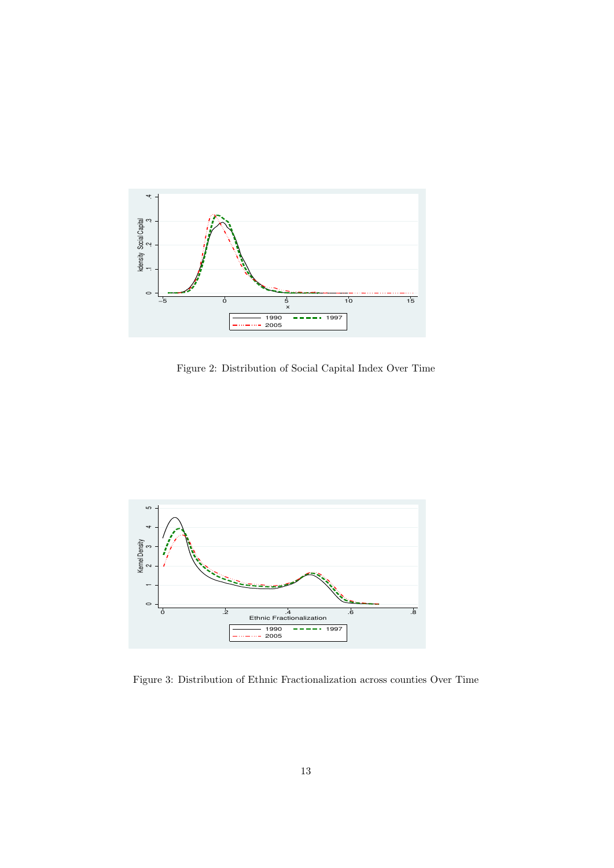

Figure 2: Distribution of Social Capital Index Over Time



Figure 3: Distribution of Ethnic Fractionalization across counties Over Time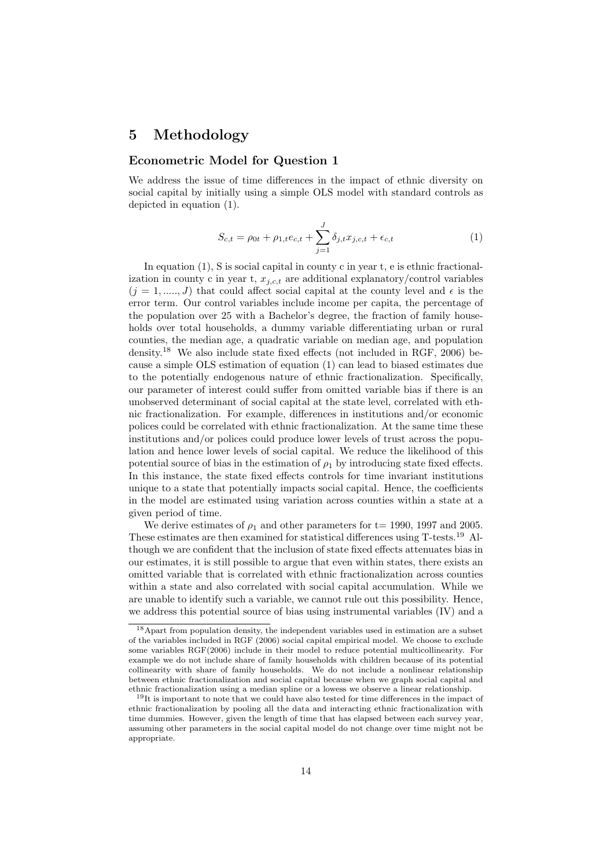# 5 Methodology

#### Econometric Model for Question 1

We address the issue of time differences in the impact of ethnic diversity on social capital by initially using a simple OLS model with standard controls as depicted in equation (1).

$$
S_{c,t} = \rho_{0t} + \rho_{1,t}e_{c,t} + \sum_{j=1}^{J} \delta_{j,t}x_{j,c,t} + \epsilon_{c,t}
$$
 (1)

In equation (1), S is social capital in county c in year t, e is ethnic fractionalization in county c in year t,  $x_{i,c,t}$  are additional explanatory/control variables  $(j = 1, \ldots, J)$  that could affect social capital at the county level and  $\epsilon$  is the error term. Our control variables include income per capita, the percentage of the population over 25 with a Bachelor's degree, the fraction of family households over total households, a dummy variable differentiating urban or rural counties, the median age, a quadratic variable on median age, and population density.<sup>18</sup> We also include state fixed effects (not included in RGF, 2006) because a simple OLS estimation of equation (1) can lead to biased estimates due to the potentially endogenous nature of ethnic fractionalization. Specifically, our parameter of interest could suffer from omitted variable bias if there is an unobserved determinant of social capital at the state level, correlated with ethnic fractionalization. For example, differences in institutions and/or economic polices could be correlated with ethnic fractionalization. At the same time these institutions and/or polices could produce lower levels of trust across the population and hence lower levels of social capital. We reduce the likelihood of this potential source of bias in the estimation of  $\rho_1$  by introducing state fixed effects. In this instance, the state fixed effects controls for time invariant institutions unique to a state that potentially impacts social capital. Hence, the coefficients in the model are estimated using variation across counties within a state at a given period of time.

We derive estimates of  $\rho_1$  and other parameters for t= 1990, 1997 and 2005. These estimates are then examined for statistical differences using T-tests.<sup>19</sup> Although we are confident that the inclusion of state fixed effects attenuates bias in our estimates, it is still possible to argue that even within states, there exists an omitted variable that is correlated with ethnic fractionalization across counties within a state and also correlated with social capital accumulation. While we are unable to identify such a variable, we cannot rule out this possibility. Hence, we address this potential source of bias using instrumental variables (IV) and a

<sup>18</sup>Apart from population density, the independent variables used in estimation are a subset of the variables included in RGF (2006) social capital empirical model. We choose to exclude some variables RGF(2006) include in their model to reduce potential multicollinearity. For example we do not include share of family households with children because of its potential collinearity with share of family households. We do not include a nonlinear relationship between ethnic fractionalization and social capital because when we graph social capital and ethnic fractionalization using a median spline or a lowess we observe a linear relationship.

<sup>&</sup>lt;sup>19</sup>It is important to note that we could have also tested for time differences in the impact of ethnic fractionalization by pooling all the data and interacting ethnic fractionalization with time dummies. However, given the length of time that has elapsed between each survey year, assuming other parameters in the social capital model do not change over time might not be appropriate.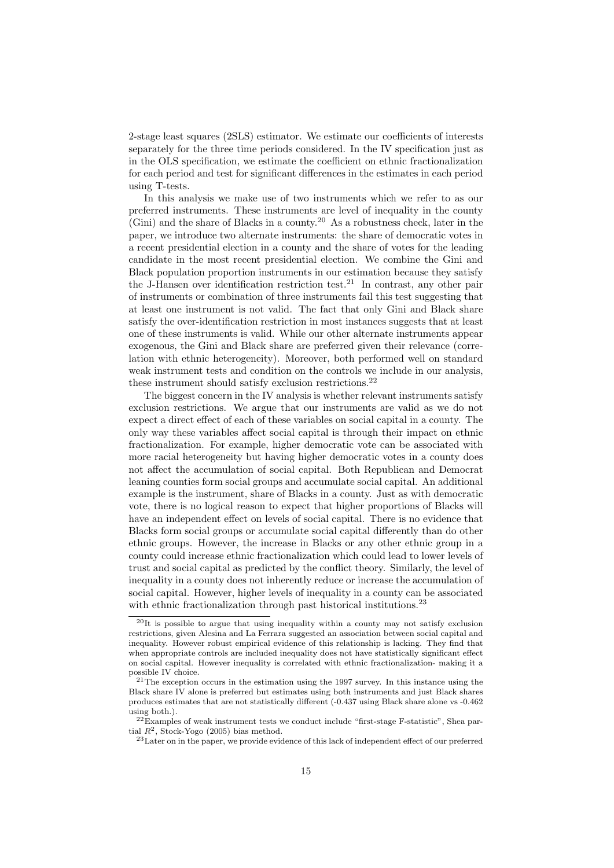2-stage least squares (2SLS) estimator. We estimate our coefficients of interests separately for the three time periods considered. In the IV specification just as in the OLS specification, we estimate the coefficient on ethnic fractionalization for each period and test for significant differences in the estimates in each period using T-tests.

In this analysis we make use of two instruments which we refer to as our preferred instruments. These instruments are level of inequality in the county  $(Gini)$  and the share of Blacks in a county.<sup>20</sup> As a robustness check, later in the paper, we introduce two alternate instruments: the share of democratic votes in a recent presidential election in a county and the share of votes for the leading candidate in the most recent presidential election. We combine the Gini and Black population proportion instruments in our estimation because they satisfy the J-Hansen over identification restriction test.<sup>21</sup> In contrast, any other pair of instruments or combination of three instruments fail this test suggesting that at least one instrument is not valid. The fact that only Gini and Black share satisfy the over-identification restriction in most instances suggests that at least one of these instruments is valid. While our other alternate instruments appear exogenous, the Gini and Black share are preferred given their relevance (correlation with ethnic heterogeneity). Moreover, both performed well on standard weak instrument tests and condition on the controls we include in our analysis, these instrument should satisfy exclusion restrictions.<sup>22</sup>

The biggest concern in the IV analysis is whether relevant instruments satisfy exclusion restrictions. We argue that our instruments are valid as we do not expect a direct effect of each of these variables on social capital in a county. The only way these variables affect social capital is through their impact on ethnic fractionalization. For example, higher democratic vote can be associated with more racial heterogeneity but having higher democratic votes in a county does not affect the accumulation of social capital. Both Republican and Democrat leaning counties form social groups and accumulate social capital. An additional example is the instrument, share of Blacks in a county. Just as with democratic vote, there is no logical reason to expect that higher proportions of Blacks will have an independent effect on levels of social capital. There is no evidence that Blacks form social groups or accumulate social capital differently than do other ethnic groups. However, the increase in Blacks or any other ethnic group in a county could increase ethnic fractionalization which could lead to lower levels of trust and social capital as predicted by the conflict theory. Similarly, the level of inequality in a county does not inherently reduce or increase the accumulation of social capital. However, higher levels of inequality in a county can be associated with ethnic fractionalization through past historical institutions.<sup>23</sup>

<sup>20</sup>It is possible to argue that using inequality within a county may not satisfy exclusion restrictions, given Alesina and La Ferrara suggested an association between social capital and inequality. However robust empirical evidence of this relationship is lacking. They find that when appropriate controls are included inequality does not have statistically significant effect on social capital. However inequality is correlated with ethnic fractionalization- making it a possible IV choice.

<sup>&</sup>lt;sup>21</sup>The exception occurs in the estimation using the 1997 survey. In this instance using the Black share IV alone is preferred but estimates using both instruments and just Black shares produces estimates that are not statistically different (-0.437 using Black share alone vs -0.462 using both.).

<sup>22</sup>Examples of weak instrument tests we conduct include "first-stage F-statistic", Shea partial  $R^2$ , Stock-Yogo (2005) bias method.

<sup>&</sup>lt;sup>23</sup> Later on in the paper, we provide evidence of this lack of independent effect of our preferred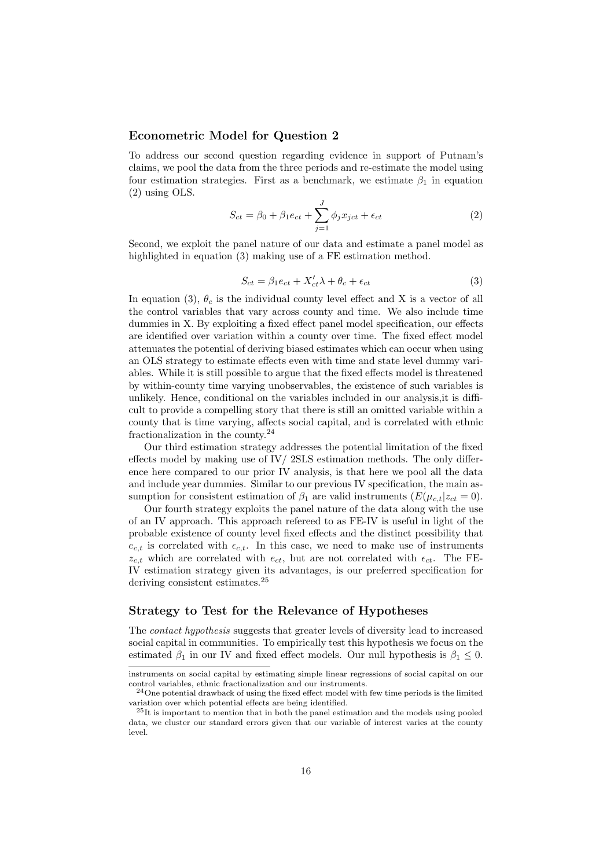#### Econometric Model for Question 2

To address our second question regarding evidence in support of Putnam's claims, we pool the data from the three periods and re-estimate the model using four estimation strategies. First as a benchmark, we estimate  $\beta_1$  in equation (2) using OLS.

$$
S_{ct} = \beta_0 + \beta_1 e_{ct} + \sum_{j=1}^{J} \phi_j x_{ict} + \epsilon_{ct}
$$
\n(2)

Second, we exploit the panel nature of our data and estimate a panel model as highlighted in equation (3) making use of a FE estimation method.

$$
S_{ct} = \beta_1 e_{ct} + X'_{ct} \lambda + \theta_c + \epsilon_{ct}
$$
\n(3)

In equation (3),  $\theta_c$  is the individual county level effect and X is a vector of all the control variables that vary across county and time. We also include time dummies in X. By exploiting a fixed effect panel model specification, our effects are identified over variation within a county over time. The fixed effect model attenuates the potential of deriving biased estimates which can occur when using an OLS strategy to estimate effects even with time and state level dummy variables. While it is still possible to argue that the fixed effects model is threatened by within-county time varying unobservables, the existence of such variables is unlikely. Hence, conditional on the variables included in our analysis,it is difficult to provide a compelling story that there is still an omitted variable within a county that is time varying, affects social capital, and is correlated with ethnic fractionalization in the county. $24$ 

Our third estimation strategy addresses the potential limitation of the fixed effects model by making use of  $\text{IV}$ / 2SLS estimation methods. The only difference here compared to our prior IV analysis, is that here we pool all the data and include year dummies. Similar to our previous IV specification, the main assumption for consistent estimation of  $\beta_1$  are valid instruments  $(E(\mu_{c,t}|z_{ct} = 0)).$ 

Our fourth strategy exploits the panel nature of the data along with the use of an IV approach. This approach refereed to as FE-IV is useful in light of the probable existence of county level fixed effects and the distinct possibility that  $e_{c,t}$  is correlated with  $\epsilon_{c,t}$ . In this case, we need to make use of instruments  $z_{c,t}$  which are correlated with  $e_{ct}$ , but are not correlated with  $\epsilon_{ct}$ . The FE-IV estimation strategy given its advantages, is our preferred specification for deriving consistent estimates.<sup>25</sup>

#### Strategy to Test for the Relevance of Hypotheses

The contact hypothesis suggests that greater levels of diversity lead to increased social capital in communities. To empirically test this hypothesis we focus on the estimated  $\beta_1$  in our IV and fixed effect models. Our null hypothesis is  $\beta_1 \leq 0$ .

instruments on social capital by estimating simple linear regressions of social capital on our control variables, ethnic fractionalization and our instruments.

<sup>24</sup>One potential drawback of using the fixed effect model with few time periods is the limited variation over which potential effects are being identified.

<sup>25</sup>It is important to mention that in both the panel estimation and the models using pooled data, we cluster our standard errors given that our variable of interest varies at the county level.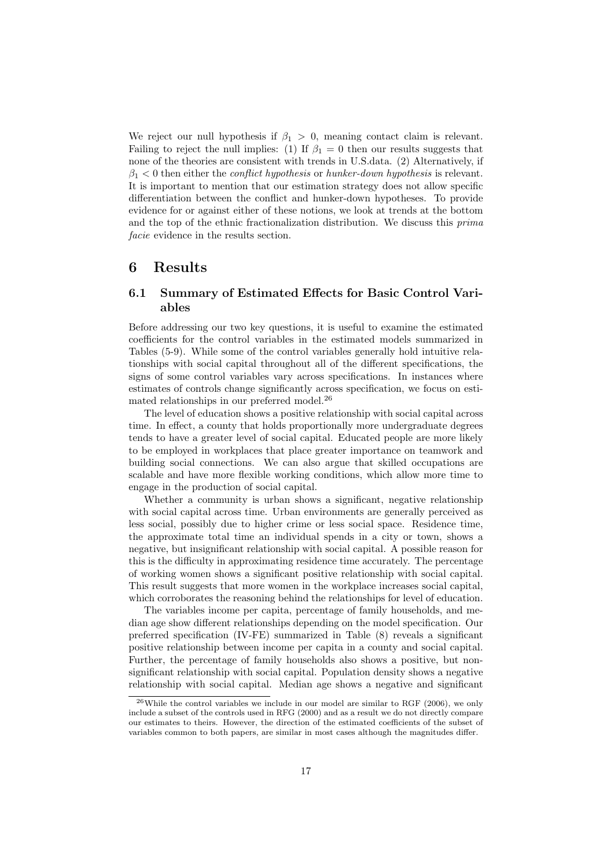We reject our null hypothesis if  $\beta_1 > 0$ , meaning contact claim is relevant. Failing to reject the null implies: (1) If  $\beta_1 = 0$  then our results suggests that none of the theories are consistent with trends in U.S.data. (2) Alternatively, if  $\beta_1$  < 0 then either the *conflict hypothesis* or *hunker-down hypothesis* is relevant. It is important to mention that our estimation strategy does not allow specific differentiation between the conflict and hunker-down hypotheses. To provide evidence for or against either of these notions, we look at trends at the bottom and the top of the ethnic fractionalization distribution. We discuss this prima facie evidence in the results section.

### 6 Results

### 6.1 Summary of Estimated Effects for Basic Control Variables

Before addressing our two key questions, it is useful to examine the estimated coefficients for the control variables in the estimated models summarized in Tables (5-9). While some of the control variables generally hold intuitive relationships with social capital throughout all of the different specifications, the signs of some control variables vary across specifications. In instances where estimates of controls change significantly across specification, we focus on estimated relationships in our preferred model.<sup>26</sup>

The level of education shows a positive relationship with social capital across time. In effect, a county that holds proportionally more undergraduate degrees tends to have a greater level of social capital. Educated people are more likely to be employed in workplaces that place greater importance on teamwork and building social connections. We can also argue that skilled occupations are scalable and have more flexible working conditions, which allow more time to engage in the production of social capital.

Whether a community is urban shows a significant, negative relationship with social capital across time. Urban environments are generally perceived as less social, possibly due to higher crime or less social space. Residence time, the approximate total time an individual spends in a city or town, shows a negative, but insignificant relationship with social capital. A possible reason for this is the difficulty in approximating residence time accurately. The percentage of working women shows a significant positive relationship with social capital. This result suggests that more women in the workplace increases social capital, which corroborates the reasoning behind the relationships for level of education.

The variables income per capita, percentage of family households, and median age show different relationships depending on the model specification. Our preferred specification (IV-FE) summarized in Table (8) reveals a significant positive relationship between income per capita in a county and social capital. Further, the percentage of family households also shows a positive, but nonsignificant relationship with social capital. Population density shows a negative relationship with social capital. Median age shows a negative and significant

 $^{26}$ While the control variables we include in our model are similar to RGF (2006), we only include a subset of the controls used in RFG (2000) and as a result we do not directly compare our estimates to theirs. However, the direction of the estimated coefficients of the subset of variables common to both papers, are similar in most cases although the magnitudes differ.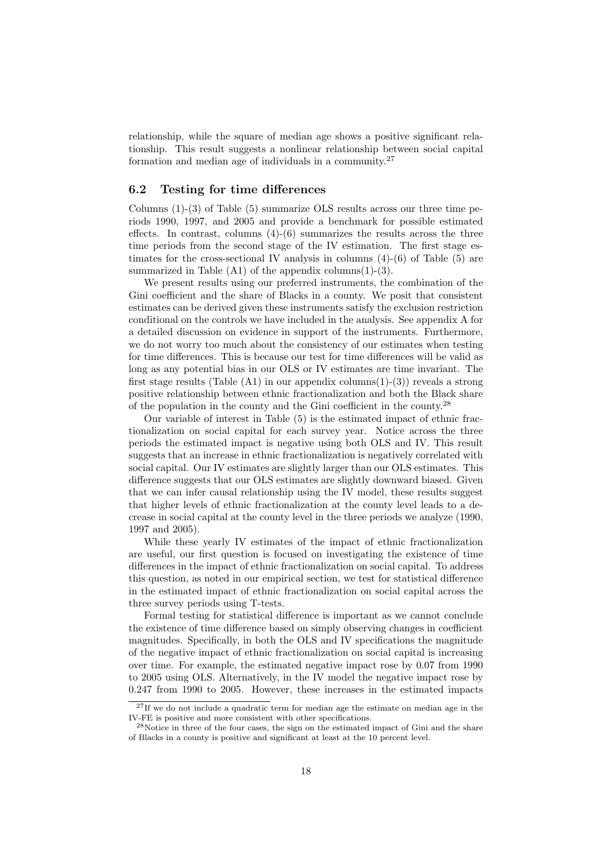relationship, while the square of median age shows a positive significant relationship. This result suggests a nonlinear relationship between social capital formation and median age of individuals in a community.<sup>27</sup>

#### 6.2 Testing for time differences

Columns  $(1)-(3)$  of Table  $(5)$  summarize OLS results across our three time periods 1990, 1997, and 2005 and provide a benchmark for possible estimated effects. In contrast, columns  $(4)-(6)$  summarizes the results across the three time periods from the second stage of the IV estimation. The first stage estimates for the cross-sectional IV analysis in columns (4)-(6) of Table (5) are summarized in Table  $(A1)$  of the appendix columns $(1)-(3)$ .

We present results using our preferred instruments, the combination of the Gini coefficient and the share of Blacks in a county. We posit that consistent estimates can be derived given these instruments satisfy the exclusion restriction conditional on the controls we have included in the analysis. See appendix A for a detailed discussion on evidence in support of the instruments. Furthermore, we do not worry too much about the consistency of our estimates when testing for time differences. This is because our test for time differences will be valid as long as any potential bias in our OLS or IV estimates are time invariant. The first stage results (Table  $(A1)$  in our appendix columns $(1)-(3)$ ) reveals a strong positive relationship between ethnic fractionalization and both the Black share of the population in the county and the Gini coefficient in the county.<sup>28</sup>

Our variable of interest in Table (5) is the estimated impact of ethnic fractionalization on social capital for each survey year. Notice across the three periods the estimated impact is negative using both OLS and IV. This result suggests that an increase in ethnic fractionalization is negatively correlated with social capital. Our IV estimates are slightly larger than our OLS estimates. This difference suggests that our OLS estimates are slightly downward biased. Given that we can infer causal relationship using the IV model, these results suggest that higher levels of ethnic fractionalization at the county level leads to a decrease in social capital at the county level in the three periods we analyze (1990, 1997 and 2005).

While these yearly IV estimates of the impact of ethnic fractionalization are useful, our first question is focused on investigating the existence of time differences in the impact of ethnic fractionalization on social capital. To address this question, as noted in our empirical section, we test for statistical difference in the estimated impact of ethnic fractionalization on social capital across the three survey periods using T-tests.

Formal testing for statistical difference is important as we cannot conclude the existence of time difference based on simply observing changes in coefficient magnitudes. Specifically, in both the OLS and IV specifications the magnitude of the negative impact of ethnic fractionalization on social capital is increasing over time. For example, the estimated negative impact rose by 0.07 from 1990 to 2005 using OLS. Alternatively, in the IV model the negative impact rose by 0.247 from 1990 to 2005. However, these increases in the estimated impacts

 $27$ If we do not include a quadratic term for median age the estimate on median age in the IV-FE is positive and more consistent with other specifications.

<sup>&</sup>lt;sup>28</sup>Notice in three of the four cases, the sign on the estimated impact of Gini and the share of Blacks in a county is positive and significant at least at the 10 percent level.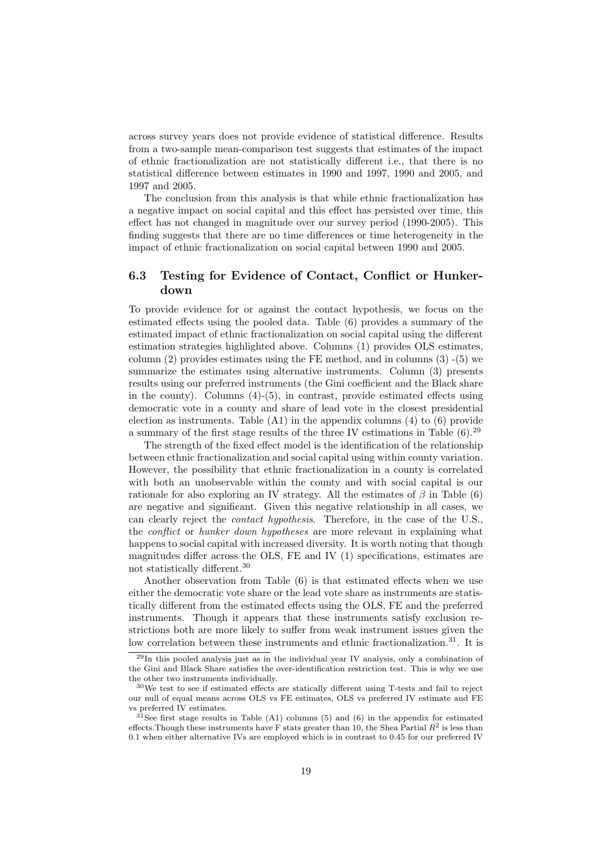across survey years does not provide evidence of statistical difference. Results from a two-sample mean-comparison test suggests that estimates of the impact of ethnic fractionalization are not statistically different i.e., that there is no statistical difference between estimates in 1990 and 1997, 1990 and 2005, and 1997 and 2005.

The conclusion from this analysis is that while ethnic fractionalization has a negative impact on social capital and this effect has persisted over time, this effect has not changed in magnitude over our survey period (1990-2005). This finding suggests that there are no time differences or time heterogeneity in the impact of ethnic fractionalization on social capital between 1990 and 2005.

### 6.3 Testing for Evidence of Contact, Conflict or Hunkerdown

To provide evidence for or against the contact hypothesis, we focus on the estimated effects using the pooled data. Table (6) provides a summary of the estimated impact of ethnic fractionalization on social capital using the different estimation strategies highlighted above. Columns (1) provides OLS estimates, column  $(2)$  provides estimates using the FE method, and in columns  $(3)$  - $(5)$  we summarize the estimates using alternative instruments. Column  $(3)$  presents results using our preferred instruments (the Gini coefficient and the Black share in the county). Columns  $(4)-(5)$ , in contrast, provide estimated effects using democratic vote in a county and share of lead vote in the closest presidential election as instruments. Table (A1) in the appendix columns (4) to (6) provide a summary of the first stage results of the three IV estimations in Table  $(6)$ .<sup>29</sup>

The strength of the fixed effect model is the identification of the relationship between ethnic fractionalization and social capital using within county variation. However, the possibility that ethnic fractionalization in a county is correlated with both an unobservable within the county and with social capital is our rationale for also exploring an IV strategy. All the estimates of  $\beta$  in Table (6) are negative and significant. Given this negative relationship in all cases, we can clearly reject the contact hypothesis. Therefore, in the case of the U.S., the *conflict* or *hunker down hypotheses* are more relevant in explaining what happens to social capital with increased diversity. It is worth noting that though magnitudes differ across the OLS, FE and IV (1) specifications, estimates are not statistically different.<sup>30</sup>

Another observation from Table (6) is that estimated effects when we use either the democratic vote share or the lead vote share as instruments are statistically different from the estimated effects using the OLS, FE and the preferred instruments. Though it appears that these instruments satisfy exclusion restrictions both are more likely to suffer from weak instrument issues given the low correlation between these instruments and ethnic fractionalization.<sup>31</sup>. It is

<sup>29</sup>In this pooled analysis just as in the individual year IV analysis, only a combination of the Gini and Black Share satisfies the over-identification restriction test. This is why we use the other two instruments individually.

<sup>&</sup>lt;sup>30</sup>We test to see if estimated effects are statically different using T-tests and fail to reject our null of equal means across OLS vs FE estimates, OLS vs preferred IV estimate and FE vs preferred IV estimates.

 $31$ See first stage results in Table (A1) columns (5) and (6) in the appendix for estimated effects. Though these instruments have F stats greater than 10, the Shea Partial  $R^2$  is less than 0.1 when either alternative IVs are employed which is in contrast to 0.45 for our preferred IV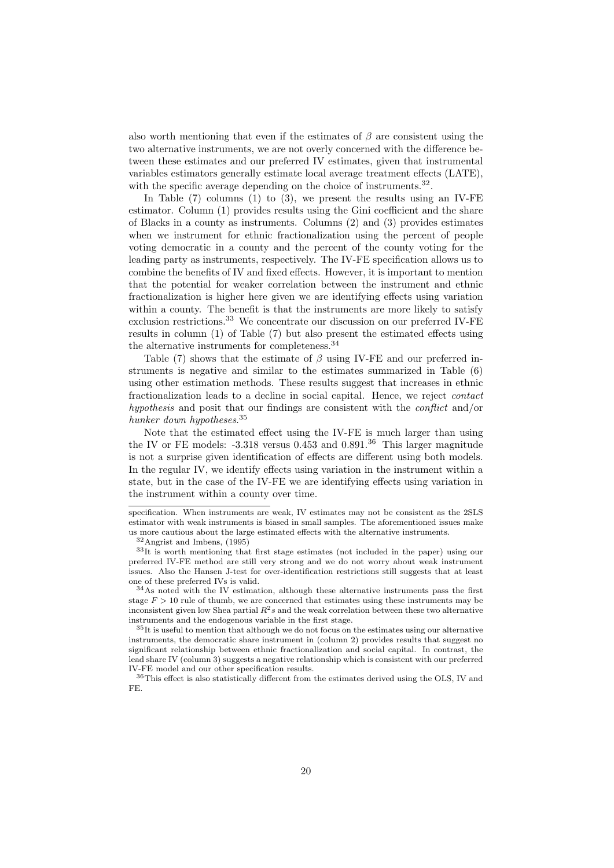also worth mentioning that even if the estimates of  $\beta$  are consistent using the two alternative instruments, we are not overly concerned with the difference between these estimates and our preferred IV estimates, given that instrumental variables estimators generally estimate local average treatment effects (LATE), with the specific average depending on the choice of instruments. $32$ .

In Table  $(7)$  columns  $(1)$  to  $(3)$ , we present the results using an IV-FE estimator. Column (1) provides results using the Gini coefficient and the share of Blacks in a county as instruments. Columns (2) and (3) provides estimates when we instrument for ethnic fractionalization using the percent of people voting democratic in a county and the percent of the county voting for the leading party as instruments, respectively. The IV-FE specification allows us to combine the benefits of IV and fixed effects. However, it is important to mention that the potential for weaker correlation between the instrument and ethnic fractionalization is higher here given we are identifying effects using variation within a county. The benefit is that the instruments are more likely to satisfy exclusion restrictions.<sup>33</sup> We concentrate our discussion on our preferred IV-FE results in column (1) of Table (7) but also present the estimated effects using the alternative instruments for completeness.<sup>34</sup>

Table (7) shows that the estimate of  $\beta$  using IV-FE and our preferred instruments is negative and similar to the estimates summarized in Table (6) using other estimation methods. These results suggest that increases in ethnic fractionalization leads to a decline in social capital. Hence, we reject contact hypothesis and posit that our findings are consistent with the *conflict* and/or hunker down hypotheses.<sup>35</sup>

Note that the estimated effect using the IV-FE is much larger than using the IV or FE models:  $-3.318$  versus 0.453 and 0.891.<sup>36</sup> This larger magnitude is not a surprise given identification of effects are different using both models. In the regular IV, we identify effects using variation in the instrument within a state, but in the case of the IV-FE we are identifying effects using variation in the instrument within a county over time.

specification. When instruments are weak, IV estimates may not be consistent as the 2SLS estimator with weak instruments is biased in small samples. The aforementioned issues make us more cautious about the large estimated effects with the alternative instruments.

<sup>32</sup>Angrist and Imbens, (1995)

<sup>33</sup>It is worth mentioning that first stage estimates (not included in the paper) using our preferred IV-FE method are still very strong and we do not worry about weak instrument issues. Also the Hansen J-test for over-identification restrictions still suggests that at least one of these preferred IVs is valid.

 $34$ As noted with the IV estimation, although these alternative instruments pass the first stage  $F > 10$  rule of thumb, we are concerned that estimates using these instruments may be inconsistent given low Shea partial  $R^2s$  and the weak correlation between these two alternative instruments and the endogenous variable in the first stage.

<sup>35</sup>It is useful to mention that although we do not focus on the estimates using our alternative instruments, the democratic share instrument in (column 2) provides results that suggest no significant relationship between ethnic fractionalization and social capital. In contrast, the lead share IV (column 3) suggests a negative relationship which is consistent with our preferred IV-FE model and our other specification results.

 $^{36}\mathrm{This}$  effect is also statistically different from the estimates derived using the OLS, IV and FE.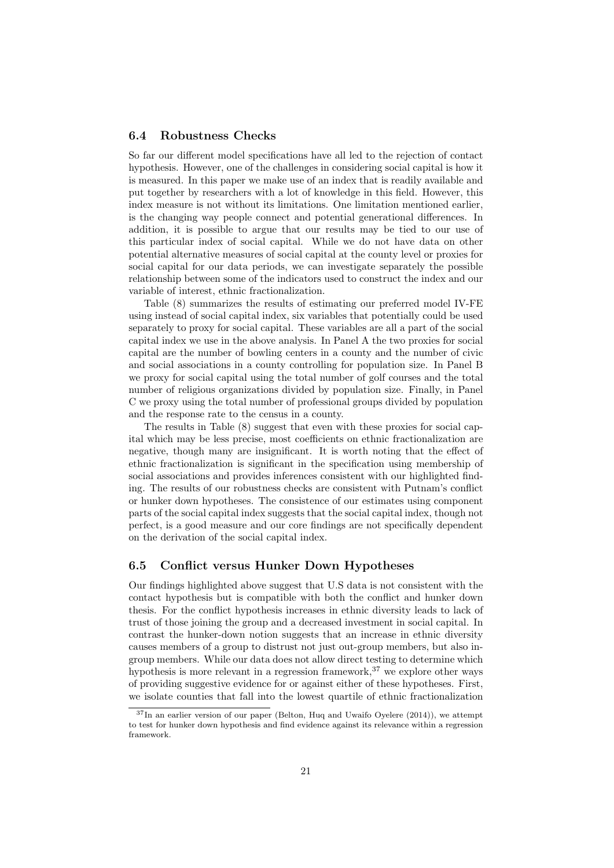#### 6.4 Robustness Checks

So far our different model specifications have all led to the rejection of contact hypothesis. However, one of the challenges in considering social capital is how it is measured. In this paper we make use of an index that is readily available and put together by researchers with a lot of knowledge in this field. However, this index measure is not without its limitations. One limitation mentioned earlier, is the changing way people connect and potential generational differences. In addition, it is possible to argue that our results may be tied to our use of this particular index of social capital. While we do not have data on other potential alternative measures of social capital at the county level or proxies for social capital for our data periods, we can investigate separately the possible relationship between some of the indicators used to construct the index and our variable of interest, ethnic fractionalization.

Table (8) summarizes the results of estimating our preferred model IV-FE using instead of social capital index, six variables that potentially could be used separately to proxy for social capital. These variables are all a part of the social capital index we use in the above analysis. In Panel A the two proxies for social capital are the number of bowling centers in a county and the number of civic and social associations in a county controlling for population size. In Panel B we proxy for social capital using the total number of golf courses and the total number of religious organizations divided by population size. Finally, in Panel C we proxy using the total number of professional groups divided by population and the response rate to the census in a county.

The results in Table (8) suggest that even with these proxies for social capital which may be less precise, most coefficients on ethnic fractionalization are negative, though many are insignificant. It is worth noting that the effect of ethnic fractionalization is significant in the specification using membership of social associations and provides inferences consistent with our highlighted finding. The results of our robustness checks are consistent with Putnam's conflict or hunker down hypotheses. The consistence of our estimates using component parts of the social capital index suggests that the social capital index, though not perfect, is a good measure and our core findings are not specifically dependent on the derivation of the social capital index.

#### 6.5 Conflict versus Hunker Down Hypotheses

Our findings highlighted above suggest that U.S data is not consistent with the contact hypothesis but is compatible with both the conflict and hunker down thesis. For the conflict hypothesis increases in ethnic diversity leads to lack of trust of those joining the group and a decreased investment in social capital. In contrast the hunker-down notion suggests that an increase in ethnic diversity causes members of a group to distrust not just out-group members, but also ingroup members. While our data does not allow direct testing to determine which hypothesis is more relevant in a regression framework,  $37$  we explore other ways of providing suggestive evidence for or against either of these hypotheses. First, we isolate counties that fall into the lowest quartile of ethnic fractionalization

 $37$ In an earlier version of our paper (Belton, Huq and Uwaifo Oyelere (2014)), we attempt to test for hunker down hypothesis and find evidence against its relevance within a regression framework.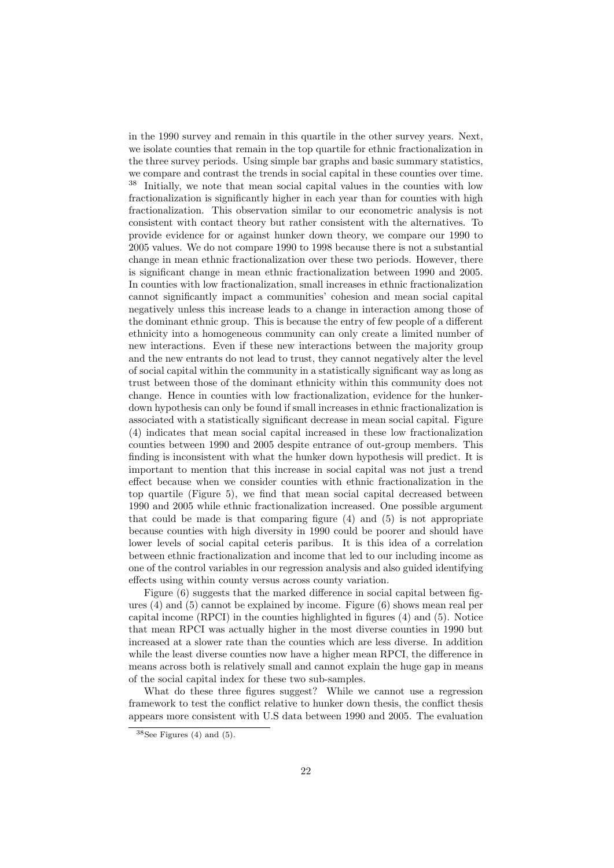in the 1990 survey and remain in this quartile in the other survey years. Next, we isolate counties that remain in the top quartile for ethnic fractionalization in the three survey periods. Using simple bar graphs and basic summary statistics, we compare and contrast the trends in social capital in these counties over time. <sup>38</sup> Initially, we note that mean social capital values in the counties with low fractionalization is significantly higher in each year than for counties with high fractionalization. This observation similar to our econometric analysis is not consistent with contact theory but rather consistent with the alternatives. To provide evidence for or against hunker down theory, we compare our 1990 to 2005 values. We do not compare 1990 to 1998 because there is not a substantial change in mean ethnic fractionalization over these two periods. However, there is significant change in mean ethnic fractionalization between 1990 and 2005. In counties with low fractionalization, small increases in ethnic fractionalization cannot significantly impact a communities' cohesion and mean social capital negatively unless this increase leads to a change in interaction among those of the dominant ethnic group. This is because the entry of few people of a different ethnicity into a homogeneous community can only create a limited number of new interactions. Even if these new interactions between the majority group and the new entrants do not lead to trust, they cannot negatively alter the level of social capital within the community in a statistically significant way as long as trust between those of the dominant ethnicity within this community does not change. Hence in counties with low fractionalization, evidence for the hunkerdown hypothesis can only be found if small increases in ethnic fractionalization is associated with a statistically significant decrease in mean social capital. Figure (4) indicates that mean social capital increased in these low fractionalization counties between 1990 and 2005 despite entrance of out-group members. This finding is inconsistent with what the hunker down hypothesis will predict. It is important to mention that this increase in social capital was not just a trend effect because when we consider counties with ethnic fractionalization in the top quartile (Figure 5), we find that mean social capital decreased between 1990 and 2005 while ethnic fractionalization increased. One possible argument that could be made is that comparing figure (4) and (5) is not appropriate because counties with high diversity in 1990 could be poorer and should have lower levels of social capital ceteris paribus. It is this idea of a correlation between ethnic fractionalization and income that led to our including income as one of the control variables in our regression analysis and also guided identifying effects using within county versus across county variation.

Figure (6) suggests that the marked difference in social capital between figures (4) and (5) cannot be explained by income. Figure (6) shows mean real per capital income (RPCI) in the counties highlighted in figures (4) and (5). Notice that mean RPCI was actually higher in the most diverse counties in 1990 but increased at a slower rate than the counties which are less diverse. In addition while the least diverse counties now have a higher mean RPCI, the difference in means across both is relatively small and cannot explain the huge gap in means of the social capital index for these two sub-samples.

What do these three figures suggest? While we cannot use a regression framework to test the conflict relative to hunker down thesis, the conflict thesis appears more consistent with U.S data between 1990 and 2005. The evaluation

 $38$ See Figures (4) and (5).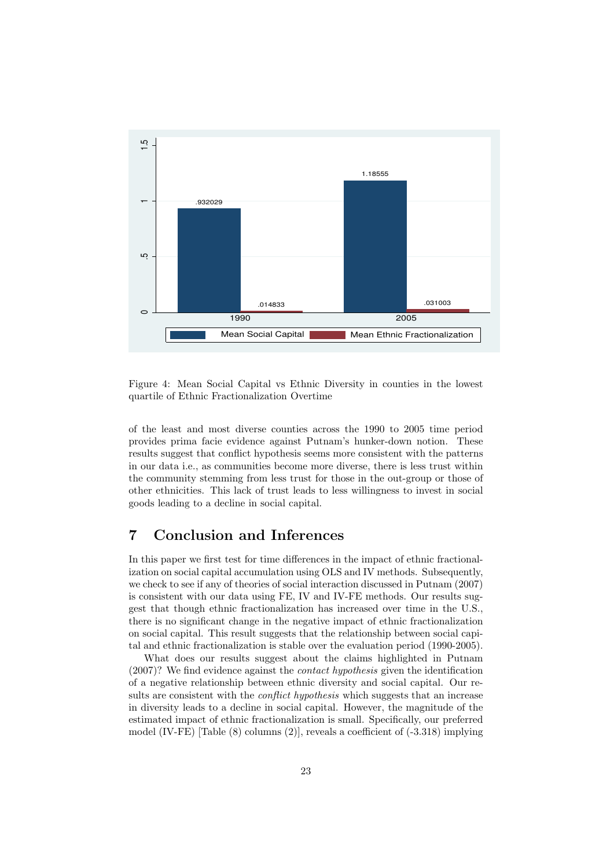

Figure 4: Mean Social Capital vs Ethnic Diversity in counties in the lowest quartile of Ethnic Fractionalization Overtime

of the least and most diverse counties across the 1990 to 2005 time period provides prima facie evidence against Putnam's hunker-down notion. These results suggest that conflict hypothesis seems more consistent with the patterns in our data i.e., as communities become more diverse, there is less trust within the community stemming from less trust for those in the out-group or those of other ethnicities. This lack of trust leads to less willingness to invest in social goods leading to a decline in social capital.

# 7 Conclusion and Inferences

In this paper we first test for time differences in the impact of ethnic fractionalization on social capital accumulation using OLS and IV methods. Subsequently, we check to see if any of theories of social interaction discussed in Putnam (2007) is consistent with our data using FE, IV and IV-FE methods. Our results suggest that though ethnic fractionalization has increased over time in the U.S., there is no significant change in the negative impact of ethnic fractionalization on social capital. This result suggests that the relationship between social capital and ethnic fractionalization is stable over the evaluation period (1990-2005).

What does our results suggest about the claims highlighted in Putnam (2007)? We find evidence against the contact hypothesis given the identification of a negative relationship between ethnic diversity and social capital. Our results are consistent with the *conflict hypothesis* which suggests that an increase in diversity leads to a decline in social capital. However, the magnitude of the estimated impact of ethnic fractionalization is small. Specifically, our preferred model (IV-FE) [Table (8) columns (2)], reveals a coefficient of (-3.318) implying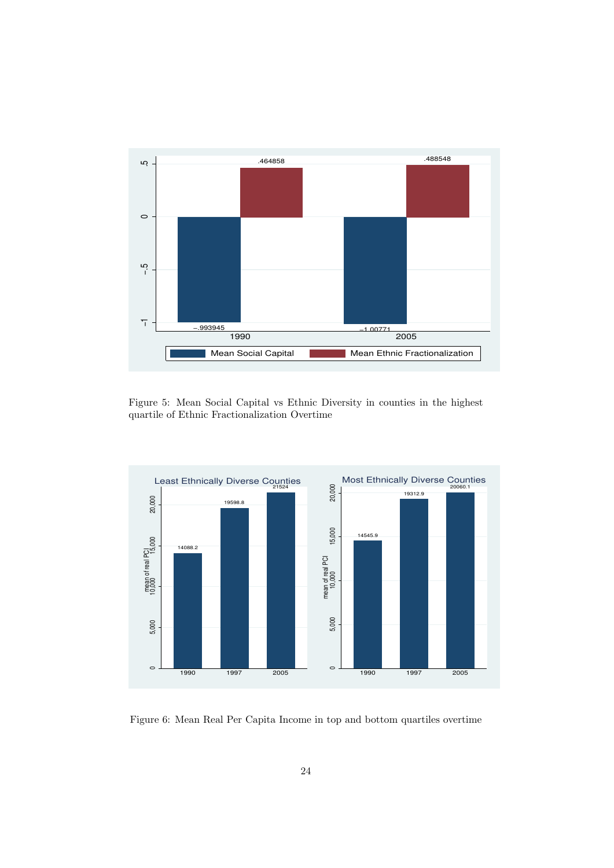

Figure 5: Mean Social Capital vs Ethnic Diversity in counties in the highest quartile of Ethnic Fractionalization Overtime



Figure 6: Mean Real Per Capita Income in top and bottom quartiles overtime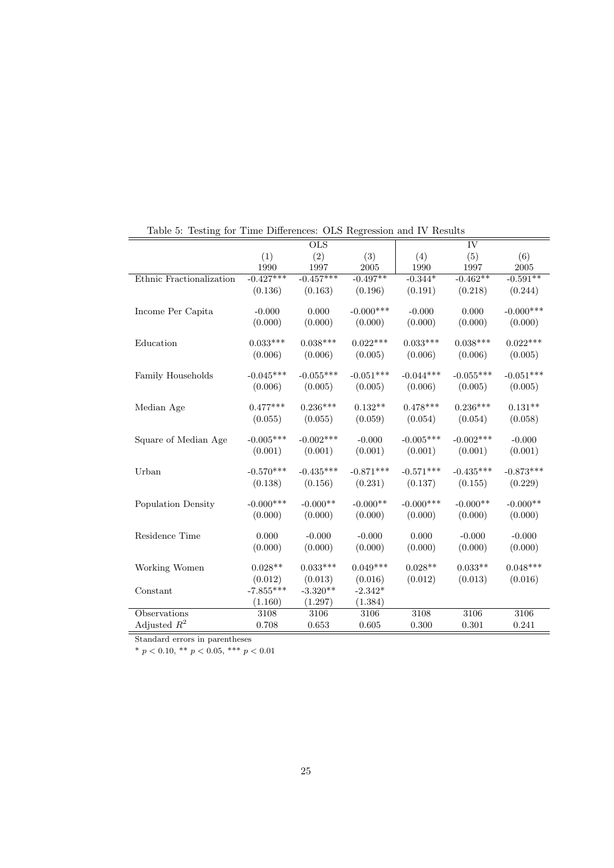|                          | <b>OLS</b>   |             |              | IV          |              |              |
|--------------------------|--------------|-------------|--------------|-------------|--------------|--------------|
|                          | (1)          | (2)         | (3)          | (4)         | (5)          | (6)          |
|                          | 1990         | 1997        | 2005         | 1990        | 1997         | 2005         |
| Ethnic Fractionalization | $-0.427***$  | $-0.457***$ | $-0.497**$   | $-0.344*$   | $-0.462**$   | $-0.591**$   |
|                          | (0.136)      | (0.163)     | (0.196)      | (0.191)     | (0.218)      | (0.244)      |
| Income Per Capita        | $-0.000$     | 0.000       | $-0.000$ *** | $-0.000$    | 0.000        | $-0.000$ *** |
|                          | (0.000)      | (0.000)     | (0.000)      | (0.000)     | (0.000)      | (0.000)      |
| Education                | $0.033***$   | $0.038***$  | $0.022***$   | $0.033***$  | $0.038***$   | $0.022***$   |
|                          | (0.006)      | (0.006)     | (0.005)      | (0.006)     | (0.006)      | (0.005)      |
| Family Households        | $-0.045***$  | $-0.055***$ | $-0.051***$  | $-0.044***$ | $-0.055***$  | $-0.051***$  |
|                          | (0.006)      | (0.005)     | (0.005)      | (0.006)     | (0.005)      | (0.005)      |
| Median Age               | $0.477***$   | $0.236***$  | $0.132**$    | $0.478***$  | $0.236***$   | $0.131**$    |
|                          | (0.055)      | (0.055)     | (0.059)      | (0.054)     | (0.054)      | (0.058)      |
| Square of Median Age     | $-0.005***$  | $-0.002***$ | $-0.000$     | $-0.005***$ | $-0.002$ *** | $-0.000$     |
|                          | (0.001)      | (0.001)     | (0.001)      | (0.001)     | (0.001)      | (0.001)      |
| Urban                    | $-0.570***$  | $-0.435***$ | $-0.871***$  | $-0.571***$ | $-0.435***$  | $-0.873***$  |
|                          | (0.138)      | (0.156)     | (0.231)      | (0.137)     | (0.155)      | (0.229)      |
| Population Density       | $-0.000$ *** | $-0.000**$  | $-0.000**$   | $-0.000***$ | $-0.000**$   | $-0.000**$   |
|                          | (0.000)      | (0.000)     | (0.000)      | (0.000)     | (0.000)      | (0.000)      |
| Residence Time           | 0.000        | $-0.000$    | $-0.000$     | 0.000       | $-0.000$     | $-0.000$     |
|                          | (0.000)      | (0.000)     | (0.000)      | (0.000)     | (0.000)      | (0.000)      |
| Working Women            | $0.028**$    | $0.033***$  | $0.049***$   | $0.028**$   | $0.033**$    | $0.048***$   |
|                          | (0.012)      | (0.013)     | (0.016)      | (0.012)     | (0.013)      | (0.016)      |
| Constant                 | $-7.855***$  | $-3.320**$  | $-2.342*$    |             |              |              |
|                          | (1.160)      | (1.297)     | (1.384)      |             |              |              |
| Observations             | 3108         | 3106        | 3106         | 3108        | 3106         | 3106         |
| Adjusted $R^2$           | 0.708        | 0.653       | 0.605        | 0.300       | 0.301        | 0.241        |

Table 5: Testing for Time Differences: OLS Regression and IV Results

Standard errors in parentheses

\*  $p < 0.10,$  \*\*  $p < 0.05,$  \*\*\*  $p < 0.01$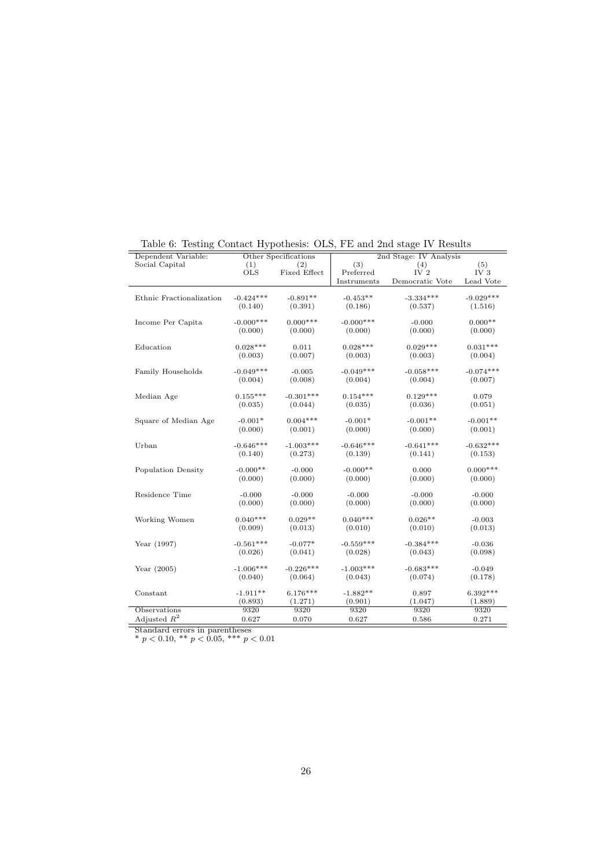| (3)<br>(5)<br>Social Capital<br>(1)<br>(4)<br>(2)<br>Preferred<br>IV $2$<br>IV <sub>3</sub><br><b>OLS</b><br>Fixed Effect<br>Lead Vote<br>Instruments<br>Democratic Vote<br>$-0.424***$<br>$-0.891**$<br>$-0.453**$<br>$-3.334***$<br>$-9.029***$<br>Ethnic Fractionalization<br>(0.391)<br>(0.140)<br>(0.186)<br>(0.537)<br>(1.516)<br>$0.000***$<br>$-0.000***$<br>$0.000**$<br>$-0.000***$<br>Income Per Capita<br>$-0.000$<br>(0.000)<br>(0.000)<br>(0.000)<br>(0.000)<br>(0.000)<br>$0.028***$<br>$0.028***$<br>$0.029***$<br>$0.031***$<br>0.011<br>Education<br>(0.007)<br>(0.003)<br>(0.004)<br>(0.003)<br>(0.003)<br>$-0.049***$<br>$-0.058***$<br>$-0.049***$<br>$-0.074***$<br>Family Households<br>$-0.005$<br>(0.004)<br>(0.008)<br>(0.004)<br>(0.004)<br>(0.007)<br>$-0.301***$<br>$0.155***$<br>$0.154***$<br>$0.129***$<br>0.079<br>Median Age<br>(0.044)<br>(0.035)<br>(0.036)<br>(0.051)<br>(0.035)<br>$0.004***$<br>$-0.001*$<br>$-0.001**$<br>$-0.001**$<br>$-0.001*$<br>Square of Median Age<br>(0.000)<br>(0.000)<br>(0.000)<br>(0.001)<br>(0.001)<br>$-0.646***$<br>$-1.003***$<br>$-0.646***$<br>$-0.641***$<br>$-0.632***$<br>Urban<br>(0.139)<br>(0.141)<br>(0.140)<br>(0.273)<br>(0.153)<br>$0.000***$<br>$-0.000**$<br>$-0.000**$<br>Population Density<br>$-0.000$<br>0.000<br>(0.000)<br>(0.000)<br>(0.000)<br>(0.000)<br>(0.000)<br>Residence Time<br>$-0.000$<br>$-0.000$<br>$-0.000$<br>$-0.000$<br>$-0.000$<br>(0.000)<br>(0.000)<br>(0.000)<br>(0.000)<br>(0.000)<br>$0.040***$<br>$0.029**$<br>$0.040***$<br>$0.026**$<br>Working Women<br>$-0.003$<br>(0.013)<br>(0.010)<br>(0.009)<br>(0.010)<br>(0.013)<br>$-0.561***$<br>$-0.559***$<br>$-0.384***$<br>$-0.077*$<br>Year (1997)<br>$-0.036$<br>(0.041)<br>(0.028)<br>(0.026)<br>(0.043)<br>(0.098)<br>$-0.226***$<br>$-1.003***$<br>$-0.683***$<br>$-1.006***$<br>$-0.049$<br>Year $(2005)$<br>(0.064)<br>(0.043)<br>(0.074)<br>(0.178)<br>(0.040)<br>$6.176***$<br>$6.392***$<br>$-1.911**$<br>$-1.882**$<br>Constant<br>0.897<br>(0.893)<br>(1.271)<br>(0.901)<br>(1.047)<br>(1.889)<br>Observations<br>9320<br>9320<br>9320<br>9320<br>9320<br>Adjusted $R^2$<br>0.271<br>0.627<br>0.070<br>0.627<br>0.586 | Dependent Variable: | Other Specifications | $\cdots$ $\cdots$ $\sim$ $\cdots$ |  |  |  | 2nd Stage: IV Analysis |  |  |  |
|-------------------------------------------------------------------------------------------------------------------------------------------------------------------------------------------------------------------------------------------------------------------------------------------------------------------------------------------------------------------------------------------------------------------------------------------------------------------------------------------------------------------------------------------------------------------------------------------------------------------------------------------------------------------------------------------------------------------------------------------------------------------------------------------------------------------------------------------------------------------------------------------------------------------------------------------------------------------------------------------------------------------------------------------------------------------------------------------------------------------------------------------------------------------------------------------------------------------------------------------------------------------------------------------------------------------------------------------------------------------------------------------------------------------------------------------------------------------------------------------------------------------------------------------------------------------------------------------------------------------------------------------------------------------------------------------------------------------------------------------------------------------------------------------------------------------------------------------------------------------------------------------------------------------------------------------------------------------------------------------------------------------------------------------------------------------------------------------------------------------------------------------------------------------------------------------------------|---------------------|----------------------|-----------------------------------|--|--|--|------------------------|--|--|--|
|                                                                                                                                                                                                                                                                                                                                                                                                                                                                                                                                                                                                                                                                                                                                                                                                                                                                                                                                                                                                                                                                                                                                                                                                                                                                                                                                                                                                                                                                                                                                                                                                                                                                                                                                                                                                                                                                                                                                                                                                                                                                                                                                                                                                       |                     |                      |                                   |  |  |  |                        |  |  |  |
|                                                                                                                                                                                                                                                                                                                                                                                                                                                                                                                                                                                                                                                                                                                                                                                                                                                                                                                                                                                                                                                                                                                                                                                                                                                                                                                                                                                                                                                                                                                                                                                                                                                                                                                                                                                                                                                                                                                                                                                                                                                                                                                                                                                                       |                     |                      |                                   |  |  |  |                        |  |  |  |
|                                                                                                                                                                                                                                                                                                                                                                                                                                                                                                                                                                                                                                                                                                                                                                                                                                                                                                                                                                                                                                                                                                                                                                                                                                                                                                                                                                                                                                                                                                                                                                                                                                                                                                                                                                                                                                                                                                                                                                                                                                                                                                                                                                                                       |                     |                      |                                   |  |  |  |                        |  |  |  |
|                                                                                                                                                                                                                                                                                                                                                                                                                                                                                                                                                                                                                                                                                                                                                                                                                                                                                                                                                                                                                                                                                                                                                                                                                                                                                                                                                                                                                                                                                                                                                                                                                                                                                                                                                                                                                                                                                                                                                                                                                                                                                                                                                                                                       |                     |                      |                                   |  |  |  |                        |  |  |  |
|                                                                                                                                                                                                                                                                                                                                                                                                                                                                                                                                                                                                                                                                                                                                                                                                                                                                                                                                                                                                                                                                                                                                                                                                                                                                                                                                                                                                                                                                                                                                                                                                                                                                                                                                                                                                                                                                                                                                                                                                                                                                                                                                                                                                       |                     |                      |                                   |  |  |  |                        |  |  |  |
|                                                                                                                                                                                                                                                                                                                                                                                                                                                                                                                                                                                                                                                                                                                                                                                                                                                                                                                                                                                                                                                                                                                                                                                                                                                                                                                                                                                                                                                                                                                                                                                                                                                                                                                                                                                                                                                                                                                                                                                                                                                                                                                                                                                                       |                     |                      |                                   |  |  |  |                        |  |  |  |
|                                                                                                                                                                                                                                                                                                                                                                                                                                                                                                                                                                                                                                                                                                                                                                                                                                                                                                                                                                                                                                                                                                                                                                                                                                                                                                                                                                                                                                                                                                                                                                                                                                                                                                                                                                                                                                                                                                                                                                                                                                                                                                                                                                                                       |                     |                      |                                   |  |  |  |                        |  |  |  |
|                                                                                                                                                                                                                                                                                                                                                                                                                                                                                                                                                                                                                                                                                                                                                                                                                                                                                                                                                                                                                                                                                                                                                                                                                                                                                                                                                                                                                                                                                                                                                                                                                                                                                                                                                                                                                                                                                                                                                                                                                                                                                                                                                                                                       |                     |                      |                                   |  |  |  |                        |  |  |  |
|                                                                                                                                                                                                                                                                                                                                                                                                                                                                                                                                                                                                                                                                                                                                                                                                                                                                                                                                                                                                                                                                                                                                                                                                                                                                                                                                                                                                                                                                                                                                                                                                                                                                                                                                                                                                                                                                                                                                                                                                                                                                                                                                                                                                       |                     |                      |                                   |  |  |  |                        |  |  |  |
|                                                                                                                                                                                                                                                                                                                                                                                                                                                                                                                                                                                                                                                                                                                                                                                                                                                                                                                                                                                                                                                                                                                                                                                                                                                                                                                                                                                                                                                                                                                                                                                                                                                                                                                                                                                                                                                                                                                                                                                                                                                                                                                                                                                                       |                     |                      |                                   |  |  |  |                        |  |  |  |
|                                                                                                                                                                                                                                                                                                                                                                                                                                                                                                                                                                                                                                                                                                                                                                                                                                                                                                                                                                                                                                                                                                                                                                                                                                                                                                                                                                                                                                                                                                                                                                                                                                                                                                                                                                                                                                                                                                                                                                                                                                                                                                                                                                                                       |                     |                      |                                   |  |  |  |                        |  |  |  |
|                                                                                                                                                                                                                                                                                                                                                                                                                                                                                                                                                                                                                                                                                                                                                                                                                                                                                                                                                                                                                                                                                                                                                                                                                                                                                                                                                                                                                                                                                                                                                                                                                                                                                                                                                                                                                                                                                                                                                                                                                                                                                                                                                                                                       |                     |                      |                                   |  |  |  |                        |  |  |  |
|                                                                                                                                                                                                                                                                                                                                                                                                                                                                                                                                                                                                                                                                                                                                                                                                                                                                                                                                                                                                                                                                                                                                                                                                                                                                                                                                                                                                                                                                                                                                                                                                                                                                                                                                                                                                                                                                                                                                                                                                                                                                                                                                                                                                       |                     |                      |                                   |  |  |  |                        |  |  |  |
|                                                                                                                                                                                                                                                                                                                                                                                                                                                                                                                                                                                                                                                                                                                                                                                                                                                                                                                                                                                                                                                                                                                                                                                                                                                                                                                                                                                                                                                                                                                                                                                                                                                                                                                                                                                                                                                                                                                                                                                                                                                                                                                                                                                                       |                     |                      |                                   |  |  |  |                        |  |  |  |
|                                                                                                                                                                                                                                                                                                                                                                                                                                                                                                                                                                                                                                                                                                                                                                                                                                                                                                                                                                                                                                                                                                                                                                                                                                                                                                                                                                                                                                                                                                                                                                                                                                                                                                                                                                                                                                                                                                                                                                                                                                                                                                                                                                                                       |                     |                      |                                   |  |  |  |                        |  |  |  |
|                                                                                                                                                                                                                                                                                                                                                                                                                                                                                                                                                                                                                                                                                                                                                                                                                                                                                                                                                                                                                                                                                                                                                                                                                                                                                                                                                                                                                                                                                                                                                                                                                                                                                                                                                                                                                                                                                                                                                                                                                                                                                                                                                                                                       |                     |                      |                                   |  |  |  |                        |  |  |  |
|                                                                                                                                                                                                                                                                                                                                                                                                                                                                                                                                                                                                                                                                                                                                                                                                                                                                                                                                                                                                                                                                                                                                                                                                                                                                                                                                                                                                                                                                                                                                                                                                                                                                                                                                                                                                                                                                                                                                                                                                                                                                                                                                                                                                       |                     |                      |                                   |  |  |  |                        |  |  |  |
|                                                                                                                                                                                                                                                                                                                                                                                                                                                                                                                                                                                                                                                                                                                                                                                                                                                                                                                                                                                                                                                                                                                                                                                                                                                                                                                                                                                                                                                                                                                                                                                                                                                                                                                                                                                                                                                                                                                                                                                                                                                                                                                                                                                                       |                     |                      |                                   |  |  |  |                        |  |  |  |
|                                                                                                                                                                                                                                                                                                                                                                                                                                                                                                                                                                                                                                                                                                                                                                                                                                                                                                                                                                                                                                                                                                                                                                                                                                                                                                                                                                                                                                                                                                                                                                                                                                                                                                                                                                                                                                                                                                                                                                                                                                                                                                                                                                                                       |                     |                      |                                   |  |  |  |                        |  |  |  |
|                                                                                                                                                                                                                                                                                                                                                                                                                                                                                                                                                                                                                                                                                                                                                                                                                                                                                                                                                                                                                                                                                                                                                                                                                                                                                                                                                                                                                                                                                                                                                                                                                                                                                                                                                                                                                                                                                                                                                                                                                                                                                                                                                                                                       |                     |                      |                                   |  |  |  |                        |  |  |  |
|                                                                                                                                                                                                                                                                                                                                                                                                                                                                                                                                                                                                                                                                                                                                                                                                                                                                                                                                                                                                                                                                                                                                                                                                                                                                                                                                                                                                                                                                                                                                                                                                                                                                                                                                                                                                                                                                                                                                                                                                                                                                                                                                                                                                       |                     |                      |                                   |  |  |  |                        |  |  |  |
|                                                                                                                                                                                                                                                                                                                                                                                                                                                                                                                                                                                                                                                                                                                                                                                                                                                                                                                                                                                                                                                                                                                                                                                                                                                                                                                                                                                                                                                                                                                                                                                                                                                                                                                                                                                                                                                                                                                                                                                                                                                                                                                                                                                                       |                     |                      |                                   |  |  |  |                        |  |  |  |
|                                                                                                                                                                                                                                                                                                                                                                                                                                                                                                                                                                                                                                                                                                                                                                                                                                                                                                                                                                                                                                                                                                                                                                                                                                                                                                                                                                                                                                                                                                                                                                                                                                                                                                                                                                                                                                                                                                                                                                                                                                                                                                                                                                                                       |                     |                      |                                   |  |  |  |                        |  |  |  |
|                                                                                                                                                                                                                                                                                                                                                                                                                                                                                                                                                                                                                                                                                                                                                                                                                                                                                                                                                                                                                                                                                                                                                                                                                                                                                                                                                                                                                                                                                                                                                                                                                                                                                                                                                                                                                                                                                                                                                                                                                                                                                                                                                                                                       |                     |                      |                                   |  |  |  |                        |  |  |  |
|                                                                                                                                                                                                                                                                                                                                                                                                                                                                                                                                                                                                                                                                                                                                                                                                                                                                                                                                                                                                                                                                                                                                                                                                                                                                                                                                                                                                                                                                                                                                                                                                                                                                                                                                                                                                                                                                                                                                                                                                                                                                                                                                                                                                       |                     |                      |                                   |  |  |  |                        |  |  |  |
|                                                                                                                                                                                                                                                                                                                                                                                                                                                                                                                                                                                                                                                                                                                                                                                                                                                                                                                                                                                                                                                                                                                                                                                                                                                                                                                                                                                                                                                                                                                                                                                                                                                                                                                                                                                                                                                                                                                                                                                                                                                                                                                                                                                                       |                     |                      |                                   |  |  |  |                        |  |  |  |
|                                                                                                                                                                                                                                                                                                                                                                                                                                                                                                                                                                                                                                                                                                                                                                                                                                                                                                                                                                                                                                                                                                                                                                                                                                                                                                                                                                                                                                                                                                                                                                                                                                                                                                                                                                                                                                                                                                                                                                                                                                                                                                                                                                                                       |                     |                      |                                   |  |  |  |                        |  |  |  |
|                                                                                                                                                                                                                                                                                                                                                                                                                                                                                                                                                                                                                                                                                                                                                                                                                                                                                                                                                                                                                                                                                                                                                                                                                                                                                                                                                                                                                                                                                                                                                                                                                                                                                                                                                                                                                                                                                                                                                                                                                                                                                                                                                                                                       |                     |                      |                                   |  |  |  |                        |  |  |  |
|                                                                                                                                                                                                                                                                                                                                                                                                                                                                                                                                                                                                                                                                                                                                                                                                                                                                                                                                                                                                                                                                                                                                                                                                                                                                                                                                                                                                                                                                                                                                                                                                                                                                                                                                                                                                                                                                                                                                                                                                                                                                                                                                                                                                       |                     |                      |                                   |  |  |  |                        |  |  |  |
|                                                                                                                                                                                                                                                                                                                                                                                                                                                                                                                                                                                                                                                                                                                                                                                                                                                                                                                                                                                                                                                                                                                                                                                                                                                                                                                                                                                                                                                                                                                                                                                                                                                                                                                                                                                                                                                                                                                                                                                                                                                                                                                                                                                                       |                     |                      |                                   |  |  |  |                        |  |  |  |
|                                                                                                                                                                                                                                                                                                                                                                                                                                                                                                                                                                                                                                                                                                                                                                                                                                                                                                                                                                                                                                                                                                                                                                                                                                                                                                                                                                                                                                                                                                                                                                                                                                                                                                                                                                                                                                                                                                                                                                                                                                                                                                                                                                                                       |                     |                      |                                   |  |  |  |                        |  |  |  |
|                                                                                                                                                                                                                                                                                                                                                                                                                                                                                                                                                                                                                                                                                                                                                                                                                                                                                                                                                                                                                                                                                                                                                                                                                                                                                                                                                                                                                                                                                                                                                                                                                                                                                                                                                                                                                                                                                                                                                                                                                                                                                                                                                                                                       |                     |                      |                                   |  |  |  |                        |  |  |  |
|                                                                                                                                                                                                                                                                                                                                                                                                                                                                                                                                                                                                                                                                                                                                                                                                                                                                                                                                                                                                                                                                                                                                                                                                                                                                                                                                                                                                                                                                                                                                                                                                                                                                                                                                                                                                                                                                                                                                                                                                                                                                                                                                                                                                       |                     |                      |                                   |  |  |  |                        |  |  |  |
|                                                                                                                                                                                                                                                                                                                                                                                                                                                                                                                                                                                                                                                                                                                                                                                                                                                                                                                                                                                                                                                                                                                                                                                                                                                                                                                                                                                                                                                                                                                                                                                                                                                                                                                                                                                                                                                                                                                                                                                                                                                                                                                                                                                                       |                     |                      |                                   |  |  |  |                        |  |  |  |
|                                                                                                                                                                                                                                                                                                                                                                                                                                                                                                                                                                                                                                                                                                                                                                                                                                                                                                                                                                                                                                                                                                                                                                                                                                                                                                                                                                                                                                                                                                                                                                                                                                                                                                                                                                                                                                                                                                                                                                                                                                                                                                                                                                                                       |                     |                      |                                   |  |  |  |                        |  |  |  |
|                                                                                                                                                                                                                                                                                                                                                                                                                                                                                                                                                                                                                                                                                                                                                                                                                                                                                                                                                                                                                                                                                                                                                                                                                                                                                                                                                                                                                                                                                                                                                                                                                                                                                                                                                                                                                                                                                                                                                                                                                                                                                                                                                                                                       |                     |                      |                                   |  |  |  |                        |  |  |  |
|                                                                                                                                                                                                                                                                                                                                                                                                                                                                                                                                                                                                                                                                                                                                                                                                                                                                                                                                                                                                                                                                                                                                                                                                                                                                                                                                                                                                                                                                                                                                                                                                                                                                                                                                                                                                                                                                                                                                                                                                                                                                                                                                                                                                       |                     |                      |                                   |  |  |  |                        |  |  |  |
|                                                                                                                                                                                                                                                                                                                                                                                                                                                                                                                                                                                                                                                                                                                                                                                                                                                                                                                                                                                                                                                                                                                                                                                                                                                                                                                                                                                                                                                                                                                                                                                                                                                                                                                                                                                                                                                                                                                                                                                                                                                                                                                                                                                                       |                     |                      |                                   |  |  |  |                        |  |  |  |

Table 6: Testing Contact Hypothesis: OLS, FE and 2nd stage IV Results

Standard errors in parentheses \*  $p < 0.10$ , \*\*  $p < 0.05$ , \*\*\*  $p < 0.01$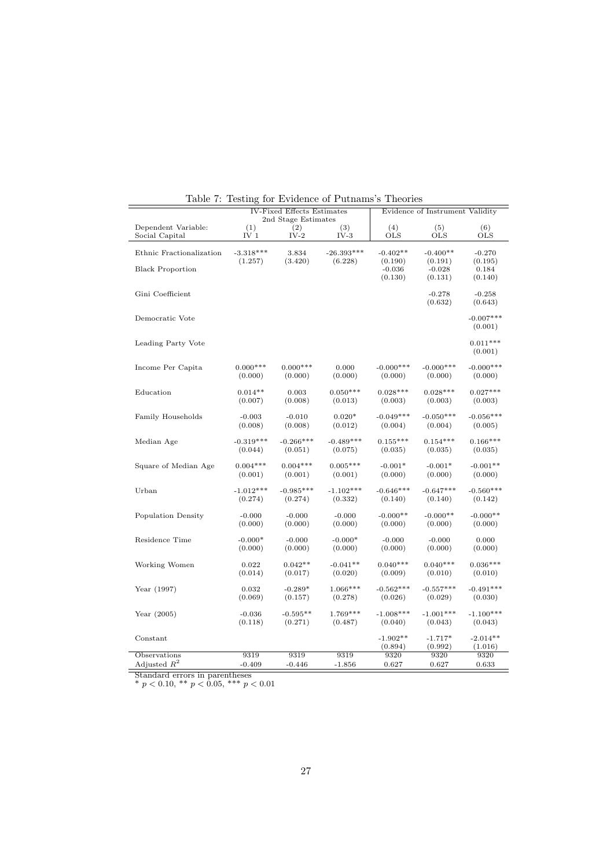| <b>IV-Fixed Effects Estimates</b><br>2nd Stage Estimates |                 |             |              | Evidence of Instrument Validity |                                |                             |  |
|----------------------------------------------------------|-----------------|-------------|--------------|---------------------------------|--------------------------------|-----------------------------|--|
| Dependent Variable:                                      | (1)             | (2)         | (3)          | (4)                             | (5)                            | (6)                         |  |
| Social Capital                                           | IV <sub>1</sub> | $IV-2$      | $IV-3$       | OLS                             | <b>OLS</b>                     | <b>OLS</b>                  |  |
| Ethnic Fractionalization                                 | $-3.318***$     | 3.834       | $-26.393***$ | $-0.402**$                      | $-0.400**$                     | $-0.270$                    |  |
| <b>Black Proportion</b>                                  | (1.257)         | (3.420)     | (6.228)      | (0.190)<br>$-0.036$<br>(0.130)  | (0.191)<br>$-0.028$<br>(0.131) | (0.195)<br>0.184<br>(0.140) |  |
| Gini Coefficient                                         |                 |             |              |                                 | $-0.278$<br>(0.632)            | $-0.258$<br>(0.643)         |  |
| Democratic Vote                                          |                 |             |              |                                 |                                | $-0.007***$<br>(0.001)      |  |
| Leading Party Vote                                       |                 |             |              |                                 |                                | $0.011***$<br>(0.001)       |  |
| Income Per Capita                                        | $0.000***$      | $0.000***$  | 0.000        | $-0.000***$                     | $-0.000***$                    | $-0.000***$                 |  |
|                                                          | (0.000)         | (0.000)     | (0.000)      | (0.000)                         | (0.000)                        | (0.000)                     |  |
| Education                                                | $0.014**$       | 0.003       | $0.050***$   | $0.028***$                      | $0.028***$                     | $0.027***$                  |  |
|                                                          | (0.007)         | (0.008)     | (0.013)      | (0.003)                         | (0.003)                        | (0.003)                     |  |
| Family Households                                        | $-0.003$        | $-0.010$    | $0.020*$     | $-0.049***$                     | $-0.050***$                    | $-0.056***$                 |  |
|                                                          | (0.008)         | (0.008)     | (0.012)      | (0.004)                         | (0.004)                        | (0.005)                     |  |
| Median Age                                               | $-0.319***$     | $-0.266***$ | $-0.489***$  | $0.155***$                      | $0.154***$                     | $0.166***$                  |  |
|                                                          | (0.044)         | (0.051)     | (0.075)      | (0.035)                         | (0.035)                        | (0.035)                     |  |
| Square of Median Age                                     | $0.004***$      | $0.004***$  | $0.005***$   | $-0.001*$                       | $-0.001*$                      | $-0.001**$                  |  |
|                                                          | (0.001)         | (0.001)     | (0.001)      | (0.000)                         | (0.000)                        | (0.000)                     |  |
| Urban                                                    | $-1.012***$     | $-0.985***$ | $-1.102***$  | $-0.646***$                     | $-0.647***$                    | $-0.560***$                 |  |
|                                                          | (0.274)         | (0.274)     | (0.332)      | (0.140)                         | (0.140)                        | (0.142)                     |  |
| Population Density                                       | $-0.000$        | $-0.000$    | $-0.000$     | $-0.000**$                      | $-0.000**$                     | $-0.000**$                  |  |
|                                                          | (0.000)         | (0.000)     | (0.000)      | (0.000)                         | (0.000)                        | (0.000)                     |  |
| Residence Time                                           | $-0.000*$       | $-0.000$    | $-0.000*$    | $-0.000$                        | $-0.000$                       | 0.000                       |  |
|                                                          | (0.000)         | (0.000)     | (0.000)      | (0.000)                         | (0.000)                        | (0.000)                     |  |
| Working Women                                            | 0.022           | $0.042**$   | $-0.041**$   | $0.040***$                      | $0.040***$                     | $0.036***$                  |  |
|                                                          | (0.014)         | (0.017)     | (0.020)      | (0.009)                         | (0.010)                        | (0.010)                     |  |
| Year $(1997)$                                            | 0.032           | $-0.289*$   | $1.066***$   | $-0.562***$                     | $-0.557***$                    | $-0.491***$                 |  |
|                                                          | (0.069)         | (0.157)     | (0.278)      | (0.026)                         | (0.029)                        | (0.030)                     |  |
| Year $(2005)$                                            | $-0.036$        | $-0.595**$  | $1.769***$   | $-1.008***$                     | $-1.001***$                    | $-1.100***$                 |  |
|                                                          | (0.118)         | (0.271)     | (0.487)      | (0.040)                         | (0.043)                        | (0.043)                     |  |
| Constant                                                 |                 |             |              | $-1.902**$<br>(0.894)           | $-1.717*$<br>(0.992)           | $-2.014**$<br>(1.016)       |  |
| Observations                                             | 9319            | 9319        | 9319         | 9320                            | 9320                           | 9320                        |  |
| Adjusted $R^2$                                           | $-0.409$        | $-0.446$    | $-1.856$     | 0.627                           | 0.627                          | 0.633                       |  |

Table 7: Testing for Evidence of Putnams's Theories

Standard errors in parentheses

\*  $p < 0.10$ , \*\*  $p < 0.05$ , \*\*\*  $p < 0.01$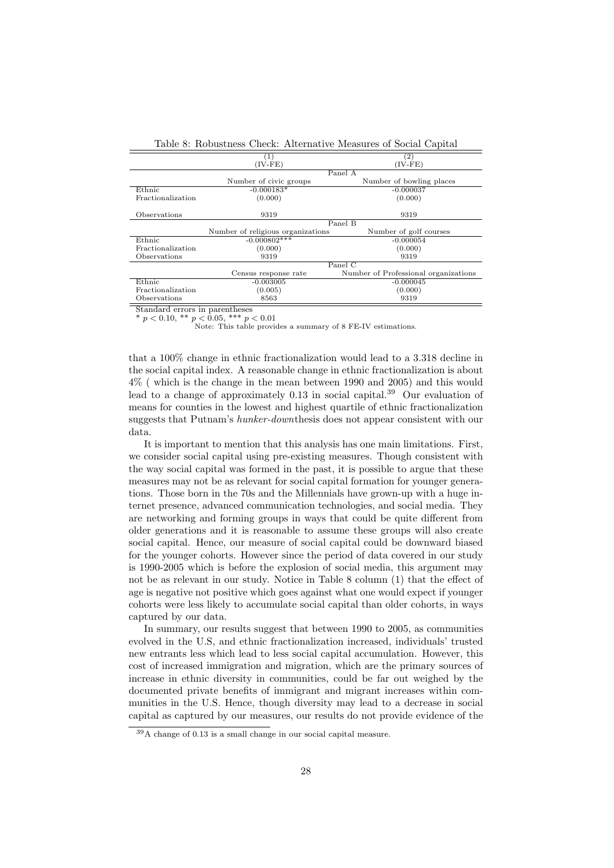| Table 8. RODUSTIESS CHECK. Alternative Measures of Social Capital |                                   |                                      |  |  |  |  |  |
|-------------------------------------------------------------------|-----------------------------------|--------------------------------------|--|--|--|--|--|
| $\left( 2\right)$<br>$\left(1\right)$                             |                                   |                                      |  |  |  |  |  |
|                                                                   | $(IV-FE)$                         | $(IV-FE)$                            |  |  |  |  |  |
|                                                                   |                                   | Panel A                              |  |  |  |  |  |
|                                                                   | Number of civic groups            | Number of bowling places             |  |  |  |  |  |
| Ethnic                                                            | $-0.000183*$                      | $-0.000037$                          |  |  |  |  |  |
| Fractionalization                                                 | (0.000)                           | (0.000)                              |  |  |  |  |  |
|                                                                   |                                   |                                      |  |  |  |  |  |
| Observations                                                      | 9319                              | 9319                                 |  |  |  |  |  |
|                                                                   | Panel B                           |                                      |  |  |  |  |  |
|                                                                   | Number of religious organizations | Number of golf courses               |  |  |  |  |  |
| Ethnic                                                            | $-0.000802$ ***                   | $-0.000054$                          |  |  |  |  |  |
| Fractionalization                                                 | (0.000)                           | (0.000)                              |  |  |  |  |  |
| Observations                                                      | 9319                              | 9319                                 |  |  |  |  |  |
|                                                                   |                                   | Panel $C$                            |  |  |  |  |  |
|                                                                   | Census response rate              | Number of Professional organizations |  |  |  |  |  |
| Ethnic                                                            | $-0.003005$                       | $-0.000045$                          |  |  |  |  |  |
| Fractionalization                                                 | (0.005)                           | (0.000)                              |  |  |  |  |  |
| Observations                                                      | 8563                              | 9319                                 |  |  |  |  |  |

Table 8: Robustness Check: Alternative Measures of Social Capital

Standard errors in parentheses

\*  $p < 0.10,$  \*\*  $p < 0.05,$  \*\*\*  $p < 0.01$ 

Note: This table provides a summary of 8 FE-IV estimations.

that a 100% change in ethnic fractionalization would lead to a 3.318 decline in the social capital index. A reasonable change in ethnic fractionalization is about 4% ( which is the change in the mean between 1990 and 2005) and this would lead to a change of approximately 0.13 in social capital.<sup>39</sup> Our evaluation of means for counties in the lowest and highest quartile of ethnic fractionalization suggests that Putnam's hunker-downthesis does not appear consistent with our data.

It is important to mention that this analysis has one main limitations. First, we consider social capital using pre-existing measures. Though consistent with the way social capital was formed in the past, it is possible to argue that these measures may not be as relevant for social capital formation for younger generations. Those born in the 70s and the Millennials have grown-up with a huge internet presence, advanced communication technologies, and social media. They are networking and forming groups in ways that could be quite different from older generations and it is reasonable to assume these groups will also create social capital. Hence, our measure of social capital could be downward biased for the younger cohorts. However since the period of data covered in our study is 1990-2005 which is before the explosion of social media, this argument may not be as relevant in our study. Notice in Table 8 column (1) that the effect of age is negative not positive which goes against what one would expect if younger cohorts were less likely to accumulate social capital than older cohorts, in ways captured by our data.

In summary, our results suggest that between 1990 to 2005, as communities evolved in the U.S, and ethnic fractionalization increased, individuals' trusted new entrants less which lead to less social capital accumulation. However, this cost of increased immigration and migration, which are the primary sources of increase in ethnic diversity in communities, could be far out weighed by the documented private benefits of immigrant and migrant increases within communities in the U.S. Hence, though diversity may lead to a decrease in social capital as captured by our measures, our results do not provide evidence of the

<sup>39</sup>A change of 0.13 is a small change in our social capital measure.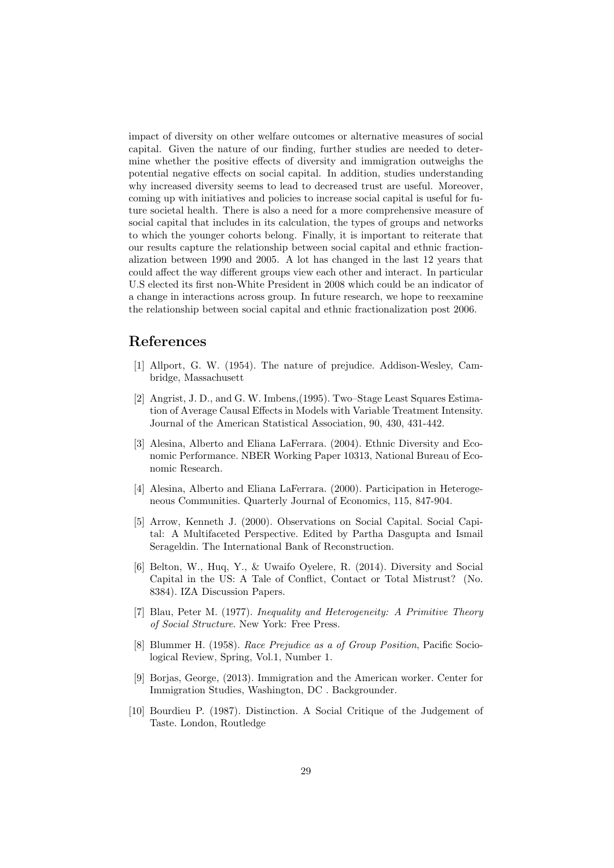impact of diversity on other welfare outcomes or alternative measures of social capital. Given the nature of our finding, further studies are needed to determine whether the positive effects of diversity and immigration outweighs the potential negative effects on social capital. In addition, studies understanding why increased diversity seems to lead to decreased trust are useful. Moreover, coming up with initiatives and policies to increase social capital is useful for future societal health. There is also a need for a more comprehensive measure of social capital that includes in its calculation, the types of groups and networks to which the younger cohorts belong. Finally, it is important to reiterate that our results capture the relationship between social capital and ethnic fractionalization between 1990 and 2005. A lot has changed in the last 12 years that could affect the way different groups view each other and interact. In particular U.S elected its first non-White President in 2008 which could be an indicator of a change in interactions across group. In future research, we hope to reexamine the relationship between social capital and ethnic fractionalization post 2006.

# References

- [1] Allport, G. W. (1954). The nature of prejudice. Addison-Wesley, Cambridge, Massachusett
- [2] Angrist, J. D., and G. W. Imbens,(1995). Two–Stage Least Squares Estimation of Average Causal Effects in Models with Variable Treatment Intensity. Journal of the American Statistical Association, 90, 430, 431-442.
- [3] Alesina, Alberto and Eliana LaFerrara. (2004). Ethnic Diversity and Economic Performance. NBER Working Paper 10313, National Bureau of Economic Research.
- [4] Alesina, Alberto and Eliana LaFerrara. (2000). Participation in Heterogeneous Communities. Quarterly Journal of Economics, 115, 847-904.
- [5] Arrow, Kenneth J. (2000). Observations on Social Capital. Social Capital: A Multifaceted Perspective. Edited by Partha Dasgupta and Ismail Serageldin. The International Bank of Reconstruction.
- [6] Belton, W., Huq, Y., & Uwaifo Oyelere, R. (2014). Diversity and Social Capital in the US: A Tale of Conflict, Contact or Total Mistrust? (No. 8384). IZA Discussion Papers.
- [7] Blau, Peter M. (1977). Inequality and Heterogeneity: A Primitive Theory of Social Structure. New York: Free Press.
- [8] Blummer H. (1958). Race Prejudice as a of Group Position, Pacific Sociological Review, Spring, Vol.1, Number 1.
- [9] Borjas, George, (2013). Immigration and the American worker. Center for Immigration Studies, Washington, DC . Backgrounder.
- [10] Bourdieu P. (1987). Distinction. A Social Critique of the Judgement of Taste. London, Routledge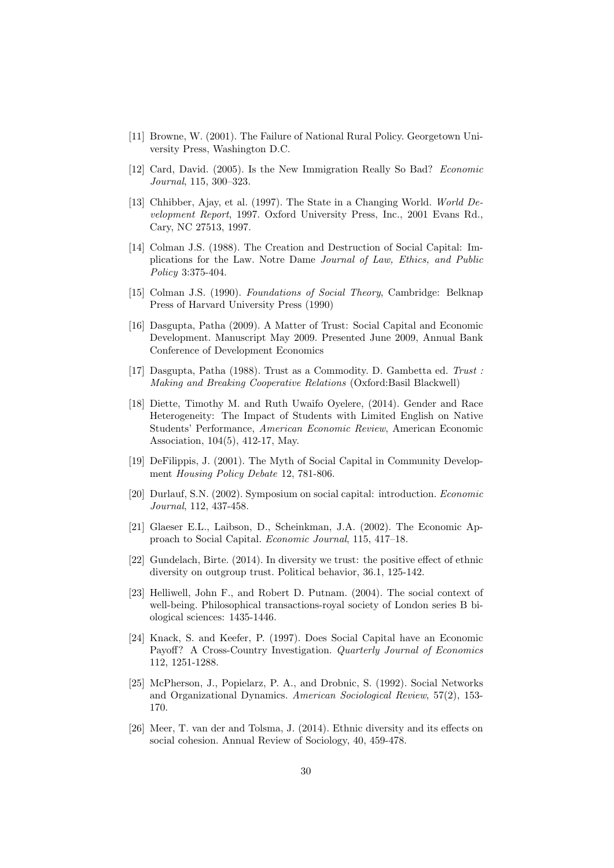- [11] Browne, W. (2001). The Failure of National Rural Policy. Georgetown University Press, Washington D.C.
- [12] Card, David. (2005). Is the New Immigration Really So Bad? Economic Journal, 115, 300–323.
- [13] Chhibber, Ajay, et al. (1997). The State in a Changing World. World Development Report, 1997. Oxford University Press, Inc., 2001 Evans Rd., Cary, NC 27513, 1997.
- [14] Colman J.S. (1988). The Creation and Destruction of Social Capital: Implications for the Law. Notre Dame Journal of Law, Ethics, and Public Policy 3:375-404.
- [15] Colman J.S. (1990). Foundations of Social Theory, Cambridge: Belknap Press of Harvard University Press (1990)
- [16] Dasgupta, Patha (2009). A Matter of Trust: Social Capital and Economic Development. Manuscript May 2009. Presented June 2009, Annual Bank Conference of Development Economics
- [17] Dasgupta, Patha (1988). Trust as a Commodity. D. Gambetta ed. Trust : Making and Breaking Cooperative Relations (Oxford:Basil Blackwell)
- [18] Diette, Timothy M. and Ruth Uwaifo Oyelere, (2014). Gender and Race Heterogeneity: The Impact of Students with Limited English on Native Students' Performance, American Economic Review, American Economic Association, 104(5), 412-17, May.
- [19] DeFilippis, J. (2001). The Myth of Social Capital in Community Development Housing Policy Debate 12, 781-806.
- [20] Durlauf, S.N. (2002). Symposium on social capital: introduction. Economic Journal, 112, 437-458.
- [21] Glaeser E.L., Laibson, D., Scheinkman, J.A. (2002). The Economic Approach to Social Capital. Economic Journal, 115, 417–18.
- [22] Gundelach, Birte. (2014). In diversity we trust: the positive effect of ethnic diversity on outgroup trust. Political behavior, 36.1, 125-142.
- [23] Helliwell, John F., and Robert D. Putnam. (2004). The social context of well-being. Philosophical transactions-royal society of London series B biological sciences: 1435-1446.
- [24] Knack, S. and Keefer, P. (1997). Does Social Capital have an Economic Payoff? A Cross-Country Investigation. Quarterly Journal of Economics 112, 1251-1288.
- [25] McPherson, J., Popielarz, P. A., and Drobnic, S. (1992). Social Networks and Organizational Dynamics. American Sociological Review, 57(2), 153- 170.
- [26] Meer, T. van der and Tolsma, J. (2014). Ethnic diversity and its effects on social cohesion. Annual Review of Sociology, 40, 459-478.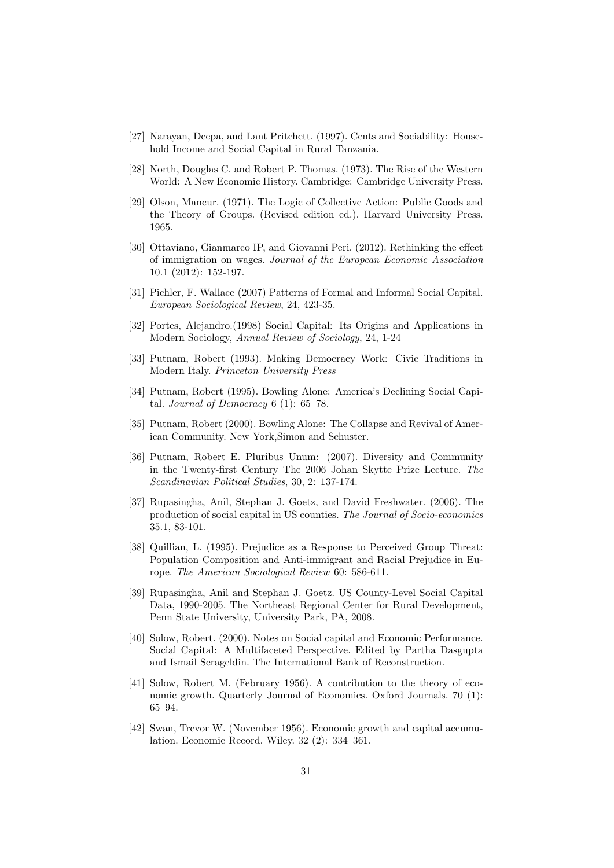- [27] Narayan, Deepa, and Lant Pritchett. (1997). Cents and Sociability: Household Income and Social Capital in Rural Tanzania.
- [28] North, Douglas C. and Robert P. Thomas. (1973). The Rise of the Western World: A New Economic History. Cambridge: Cambridge University Press.
- [29] Olson, Mancur. (1971). The Logic of Collective Action: Public Goods and the Theory of Groups. (Revised edition ed.). Harvard University Press. 1965.
- [30] Ottaviano, Gianmarco IP, and Giovanni Peri. (2012). Rethinking the effect of immigration on wages. Journal of the European Economic Association 10.1 (2012): 152-197.
- [31] Pichler, F. Wallace (2007) Patterns of Formal and Informal Social Capital. European Sociological Review, 24, 423-35.
- [32] Portes, Alejandro.(1998) Social Capital: Its Origins and Applications in Modern Sociology, Annual Review of Sociology, 24, 1-24
- [33] Putnam, Robert (1993). Making Democracy Work: Civic Traditions in Modern Italy. Princeton University Press
- [34] Putnam, Robert (1995). Bowling Alone: America's Declining Social Capital. Journal of Democracy  $6(1)$ : 65–78.
- [35] Putnam, Robert (2000). Bowling Alone: The Collapse and Revival of American Community. New York,Simon and Schuster.
- [36] Putnam, Robert E. Pluribus Unum: (2007). Diversity and Community in the Twenty-first Century The 2006 Johan Skytte Prize Lecture. The Scandinavian Political Studies, 30, 2: 137-174.
- [37] Rupasingha, Anil, Stephan J. Goetz, and David Freshwater. (2006). The production of social capital in US counties. The Journal of Socio-economics 35.1, 83-101.
- [38] Quillian, L. (1995). Prejudice as a Response to Perceived Group Threat: Population Composition and Anti-immigrant and Racial Prejudice in Europe. The American Sociological Review 60: 586-611.
- [39] Rupasingha, Anil and Stephan J. Goetz. US County-Level Social Capital Data, 1990-2005. The Northeast Regional Center for Rural Development, Penn State University, University Park, PA, 2008.
- [40] Solow, Robert. (2000). Notes on Social capital and Economic Performance. Social Capital: A Multifaceted Perspective. Edited by Partha Dasgupta and Ismail Serageldin. The International Bank of Reconstruction.
- [41] Solow, Robert M. (February 1956). A contribution to the theory of economic growth. Quarterly Journal of Economics. Oxford Journals. 70 (1): 65–94.
- [42] Swan, Trevor W. (November 1956). Economic growth and capital accumulation. Economic Record. Wiley. 32 (2): 334–361.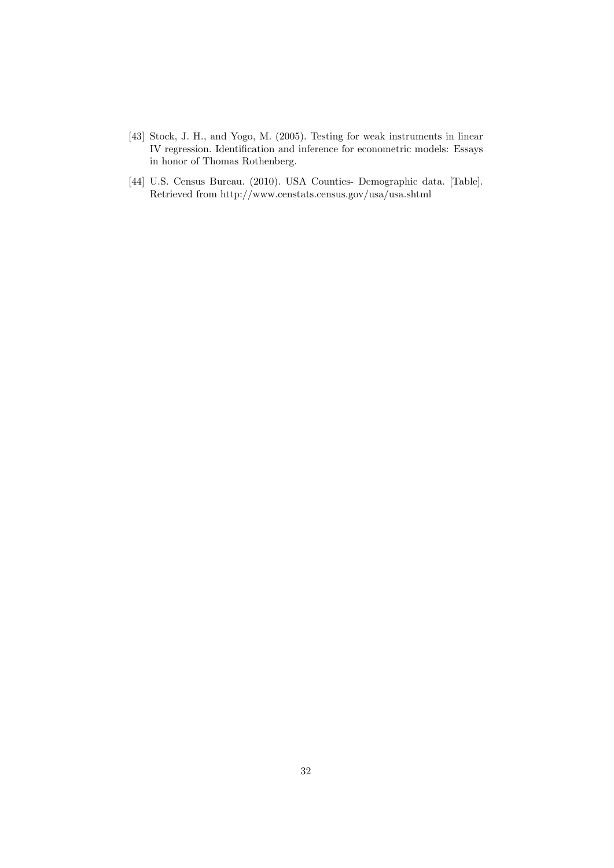- [43] Stock, J. H., and Yogo, M. (2005). Testing for weak instruments in linear IV regression. Identification and inference for econometric models: Essays in honor of Thomas Rothenberg.
- [44] U.S. Census Bureau. (2010). USA Counties- Demographic data. [Table]. Retrieved from http://www.censtats.census.gov/usa/usa.shtml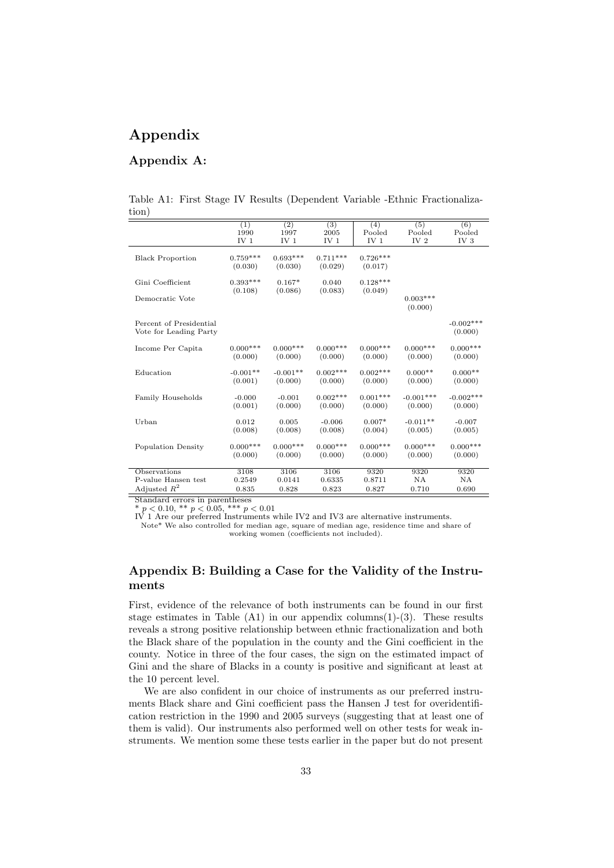# Appendix

# Appendix A:

Table A1: First Stage IV Results (Dependent Variable -Ethnic Fractionalization)

|                                     | (1)             | (2)             | (3)             | (4)            | (5)             | (6)             |
|-------------------------------------|-----------------|-----------------|-----------------|----------------|-----------------|-----------------|
|                                     | 1990            | 1997            | 2005            | Pooled         | Pooled          | Pooled          |
|                                     | IV <sub>1</sub> | IV <sub>1</sub> | IV <sub>1</sub> | IV $1$         | IV <sub>2</sub> | IV <sub>3</sub> |
|                                     | $0.759***$      | $0.693***$      | $0.711***$      | $0.726***$     |                 |                 |
| <b>Black Proportion</b>             |                 |                 |                 |                |                 |                 |
|                                     | (0.030)         | (0.030)         | (0.029)         | (0.017)        |                 |                 |
| Gini Coefficient                    | $0.393***$      | $0.167*$        | 0.040           | $0.128***$     |                 |                 |
|                                     | (0.108)         | (0.086)         | (0.083)         | (0.049)        |                 |                 |
| Democratic Vote                     |                 |                 |                 |                | $0.003***$      |                 |
|                                     |                 |                 |                 |                | (0.000)         |                 |
|                                     |                 |                 |                 |                |                 |                 |
| Percent of Presidential             |                 |                 |                 |                |                 | $-0.002***$     |
| Vote for Leading Party              |                 |                 |                 |                |                 | (0.000)         |
|                                     |                 |                 |                 |                |                 |                 |
| Income Per Capita                   | $0.000***$      | $0.000***$      | $0.000***$      | $0.000***$     | $0.000***$      | $0.000***$      |
|                                     | (0.000)         | (0.000)         | (0.000)         | (0.000)        | (0.000)         | (0.000)         |
| Education                           | $-0.001**$      | $-0.001**$      | $0.002***$      | $0.002***$     | $0.000**$       | $0.000**$       |
|                                     | (0.001)         | (0.000)         | (0.000)         | (0.000)        | (0.000)         | (0.000)         |
|                                     |                 |                 |                 |                |                 |                 |
| Family Households                   | $-0.000$        | $-0.001$        | $0.002***$      | $0.001***$     | $-0.001***$     | $-0.002***$     |
|                                     | (0.001)         | (0.000)         | (0.000)         | (0.000)        | (0.000)         | (0.000)         |
|                                     |                 |                 |                 |                |                 |                 |
| Urban                               | 0.012           | 0.005           | $-0.006$        | $0.007*$       | $-0.011**$      | $-0.007$        |
|                                     | (0.008)         | (0.008)         | (0.008)         | (0.004)        | (0.005)         | (0.005)         |
|                                     |                 |                 |                 |                |                 |                 |
| <b>Population Density</b>           | $0.000***$      | $0.000***$      | $0.000***$      | $0.000***$     | $0.000***$      | $0.000***$      |
|                                     | (0.000)         | (0.000)         | (0.000)         | (0.000)        | (0.000)         | (0.000)         |
|                                     |                 |                 |                 |                |                 |                 |
| Observations<br>P-value Hansen test | 3108<br>0.2549  | 3106<br>0.0141  | 3106<br>0.6335  | 9320<br>0.8711 | 9320<br>NA      | 9320<br>NA      |
|                                     |                 |                 |                 |                |                 |                 |
| Adjusted $R^2$                      | 0.835           | 0.828           | 0.823           | 0.827          | 0.710           | 0.690           |

Standard errors in parentheses

\*  $p < 0.10$ , \*\*  $p < 0.05$ , \*\*\*  $p < 0.01$ <br>IV 1 Are our preferred Instruments while IV2 and IV3 are alternative instruments.

Note\* We also controlled for median age, square of median age, residence time and share of working women (coefficients not included).

## Appendix B: Building a Case for the Validity of the Instruments

First, evidence of the relevance of both instruments can be found in our first stage estimates in Table  $(A1)$  in our appendix columns $(1)-(3)$ . These results reveals a strong positive relationship between ethnic fractionalization and both the Black share of the population in the county and the Gini coefficient in the county. Notice in three of the four cases, the sign on the estimated impact of Gini and the share of Blacks in a county is positive and significant at least at the 10 percent level.

We are also confident in our choice of instruments as our preferred instruments Black share and Gini coefficient pass the Hansen J test for overidentification restriction in the 1990 and 2005 surveys (suggesting that at least one of them is valid). Our instruments also performed well on other tests for weak instruments. We mention some these tests earlier in the paper but do not present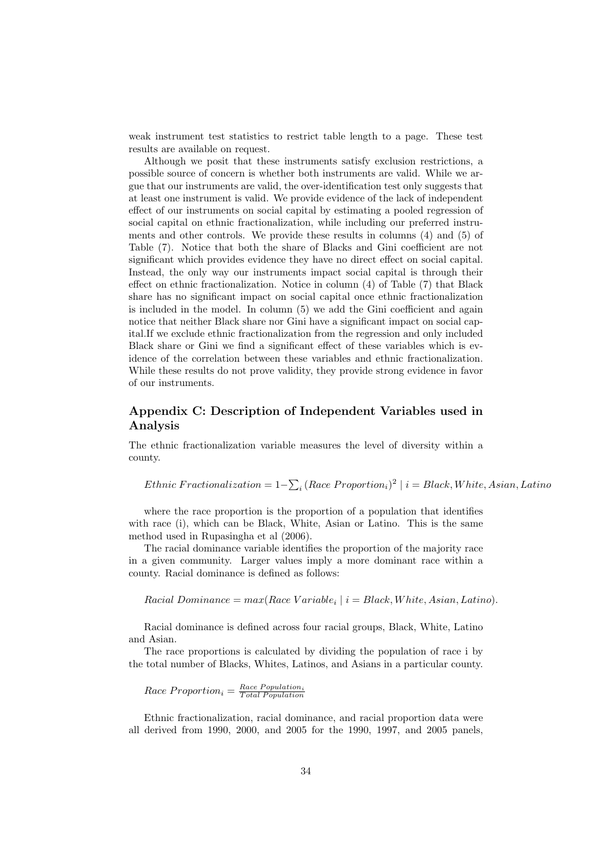weak instrument test statistics to restrict table length to a page. These test results are available on request.

Although we posit that these instruments satisfy exclusion restrictions, a possible source of concern is whether both instruments are valid. While we argue that our instruments are valid, the over-identification test only suggests that at least one instrument is valid. We provide evidence of the lack of independent effect of our instruments on social capital by estimating a pooled regression of social capital on ethnic fractionalization, while including our preferred instruments and other controls. We provide these results in columns (4) and (5) of Table (7). Notice that both the share of Blacks and Gini coefficient are not significant which provides evidence they have no direct effect on social capital. Instead, the only way our instruments impact social capital is through their effect on ethnic fractionalization. Notice in column (4) of Table (7) that Black share has no significant impact on social capital once ethnic fractionalization is included in the model. In column (5) we add the Gini coefficient and again notice that neither Black share nor Gini have a significant impact on social capital.If we exclude ethnic fractionalization from the regression and only included Black share or Gini we find a significant effect of these variables which is evidence of the correlation between these variables and ethnic fractionalization. While these results do not prove validity, they provide strong evidence in favor of our instruments.

## Appendix C: Description of Independent Variables used in Analysis

The ethnic fractionalization variable measures the level of diversity within a county.

Ethnic Fractionalization =  $1-\sum_i (Race\ Proportion_i)^2 \mid i = Black, White, Asian, Latin$ 

where the race proportion is the proportion of a population that identifies with race (i), which can be Black, White, Asian or Latino. This is the same method used in Rupasingha et al (2006).

The racial dominance variable identifies the proportion of the majority race in a given community. Larger values imply a more dominant race within a county. Racial dominance is defined as follows:

 $Racial Dominance = max(Race Variable_i | i = Black, White, Asian, Latino).$ 

Racial dominance is defined across four racial groups, Black, White, Latino and Asian.

The race proportions is calculated by dividing the population of race i by the total number of Blacks, Whites, Latinos, and Asians in a particular county.

 $Race\ Proportion_i = \frac{Race\ Population_i}{Total\ Population_i}$ 

Ethnic fractionalization, racial dominance, and racial proportion data were all derived from 1990, 2000, and 2005 for the 1990, 1997, and 2005 panels,